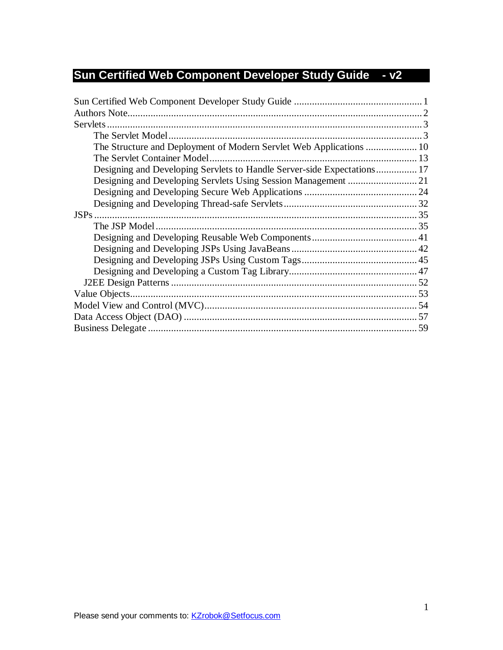# **Sun Certified Web Component Developer Study Guide - v2**

| The Structure and Deployment of Modern Servlet Web Applications  10     |  |
|-------------------------------------------------------------------------|--|
|                                                                         |  |
| Designing and Developing Servlets to Handle Server-side Expectations 17 |  |
|                                                                         |  |
|                                                                         |  |
|                                                                         |  |
|                                                                         |  |
|                                                                         |  |
|                                                                         |  |
|                                                                         |  |
|                                                                         |  |
|                                                                         |  |
|                                                                         |  |
|                                                                         |  |
|                                                                         |  |
|                                                                         |  |
|                                                                         |  |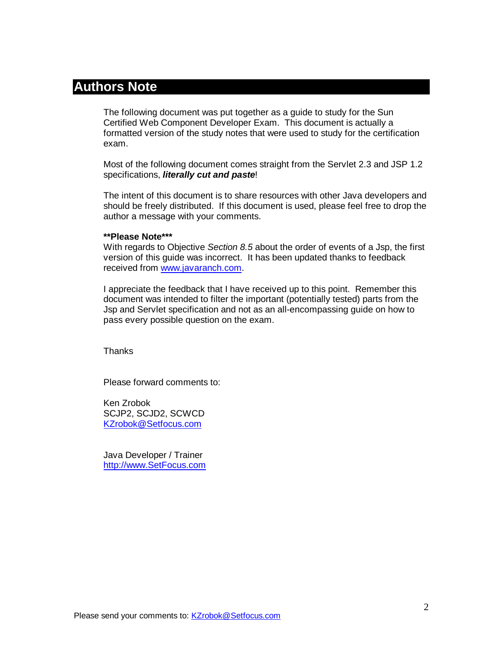## **Authors Note**

The following document was put together as a guide to study for the Sun Certified Web Component Developer Exam. This document is actually a formatted version of the study notes that were used to study for the certification exam.

Most of the following document comes straight from the Servlet 2.3 and JSP 1.2 specifications, *literally cut and paste*!

The intent of this document is to share resources with other Java developers and should be freely distributed. If this document is used, please feel free to drop the author a message with your comments.

#### **\*\*Please Note\*\*\***

With regards to Objective *Section 8.5* about the order of events of a Jsp, the first version of this guide was incorrect. It has been updated thanks to feedback received from www.javaranch.com.

I appreciate the feedback that I have received up to this point. Remember this document was intended to filter the important (potentially tested) parts from the Jsp and Servlet specification and not as an all-encompassing guide on how to pass every possible question on the exam.

Thanks

Please forward comments to:

Ken Zrobok SCJP2, SCJD2, SCWCD KZrobok@Setfocus.com

Java Developer / Trainer http://www.SetFocus.com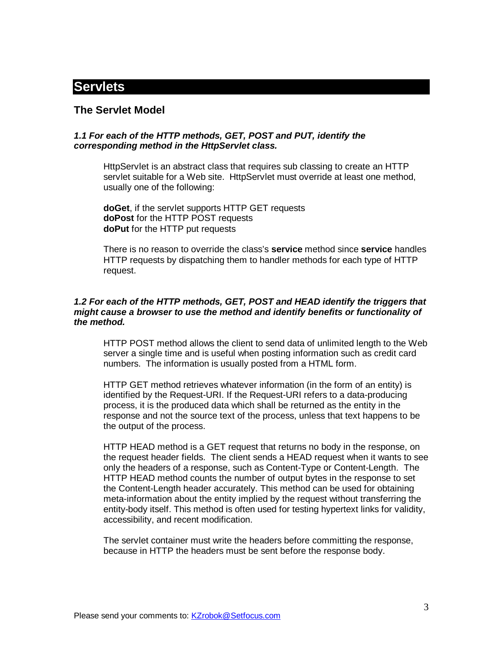## **Servlets**

## **The Servlet Model**

### *1.1 For each of the HTTP methods, GET, POST and PUT, identify the corresponding method in the HttpServlet class.*

HttpServlet is an abstract class that requires sub classing to create an HTTP servlet suitable for a Web site. HttpServlet must override at least one method, usually one of the following:

**doGet**, if the servlet supports HTTP GET requests **doPost** for the HTTP POST requests **doPut** for the HTTP put requests

There is no reason to override the class's **service** method since **service** handles HTTP requests by dispatching them to handler methods for each type of HTTP request.

#### *1.2 For each of the HTTP methods, GET, POST and HEAD identify the triggers that might cause a browser to use the method and identify benefits or functionality of the method.*

HTTP POST method allows the client to send data of unlimited length to the Web server a single time and is useful when posting information such as credit card numbers. The information is usually posted from a HTML form.

HTTP GET method retrieves whatever information (in the form of an entity) is identified by the Request-URI. If the Request-URI refers to a data-producing process, it is the produced data which shall be returned as the entity in the response and not the source text of the process, unless that text happens to be the output of the process.

HTTP HEAD method is a GET request that returns no body in the response, on the request header fields. The client sends a HEAD request when it wants to see only the headers of a response, such as Content-Type or Content-Length. The HTTP HEAD method counts the number of output bytes in the response to set the Content-Length header accurately. This method can be used for obtaining meta-information about the entity implied by the request without transferring the entity-body itself. This method is often used for testing hypertext links for validity, accessibility, and recent modification.

The servlet container must write the headers before committing the response, because in HTTP the headers must be sent before the response body.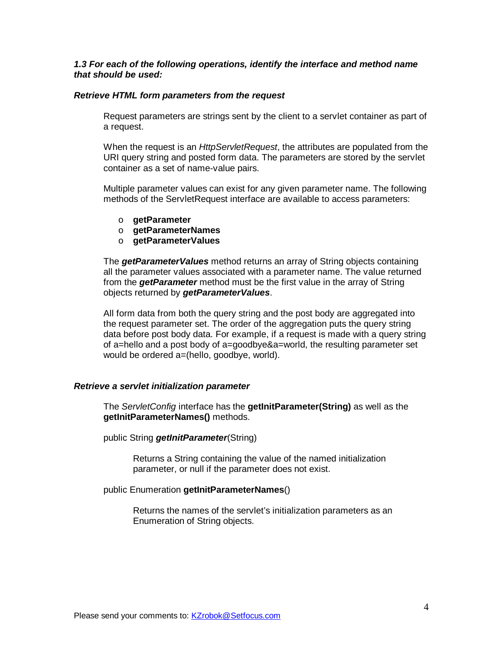### *1.3 For each of the following operations, identify the interface and method name that should be used:*

#### *Retrieve HTML form parameters from the request*

Request parameters are strings sent by the client to a servlet container as part of a request.

When the request is an *HttpServletRequest*, the attributes are populated from the URI query string and posted form data. The parameters are stored by the servlet container as a set of name-value pairs.

Multiple parameter values can exist for any given parameter name. The following methods of the ServletRequest interface are available to access parameters:

- o **getParameter**
- o **getParameterNames**
- o **getParameterValues**

The *getParameterValues* method returns an array of String objects containing all the parameter values associated with a parameter name. The value returned from the *getParameter* method must be the first value in the array of String objects returned by *getParameterValues*.

All form data from both the query string and the post body are aggregated into the request parameter set. The order of the aggregation puts the query string data before post body data. For example, if a request is made with a query string of a=hello and a post body of a=goodbye&a=world, the resulting parameter set would be ordered a=(hello, goodbye, world).

#### *Retrieve a servlet initialization parameter*

The *ServletConfig* interface has the **getInitParameter(String)** as well as the **getInitParameterNames()** methods.

public String *getInitParameter*(String)

Returns a String containing the value of the named initialization parameter, or null if the parameter does not exist.

#### public Enumeration **getInitParameterNames**()

Returns the names of the servlet's initialization parameters as an Enumeration of String objects.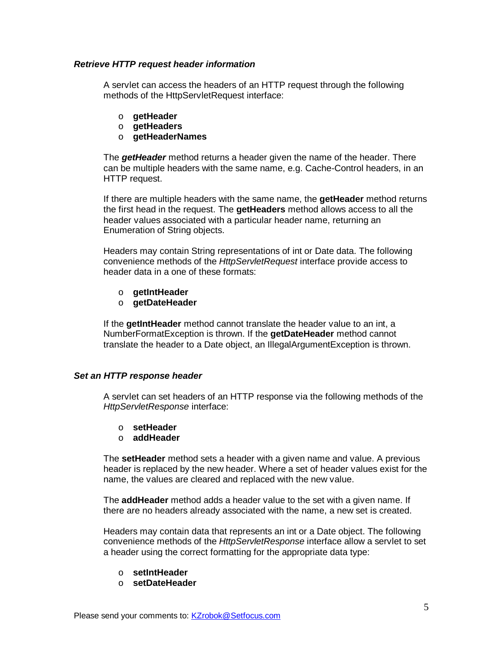#### *Retrieve HTTP request header information*

A servlet can access the headers of an HTTP request through the following methods of the HttpServletRequest interface:

- o **getHeader**
- o **getHeaders**
- o **getHeaderNames**

The *getHeader* method returns a header given the name of the header. There can be multiple headers with the same name, e.g. Cache-Control headers, in an HTTP request.

If there are multiple headers with the same name, the **getHeader** method returns the first head in the request. The **getHeaders** method allows access to all the header values associated with a particular header name, returning an Enumeration of String objects.

Headers may contain String representations of int or Date data. The following convenience methods of the *HttpServletRequest* interface provide access to header data in a one of these formats:

- o **getIntHeader**
- o **getDateHeader**

If the **getIntHeader** method cannot translate the header value to an int, a NumberFormatException is thrown. If the **getDateHeader** method cannot translate the header to a Date object, an IllegalArgumentException is thrown.

## *Set an HTTP response header*

A servlet can set headers of an HTTP response via the following methods of the *HttpServletResponse* interface:

- o **setHeader**
- o **addHeader**

The **setHeader** method sets a header with a given name and value. A previous header is replaced by the new header. Where a set of header values exist for the name, the values are cleared and replaced with the new value.

The **addHeader** method adds a header value to the set with a given name. If there are no headers already associated with the name, a new set is created.

Headers may contain data that represents an int or a Date object. The following convenience methods of the *HttpServletResponse* interface allow a servlet to set a header using the correct formatting for the appropriate data type:

- o **setIntHeader**
- o **setDateHeader**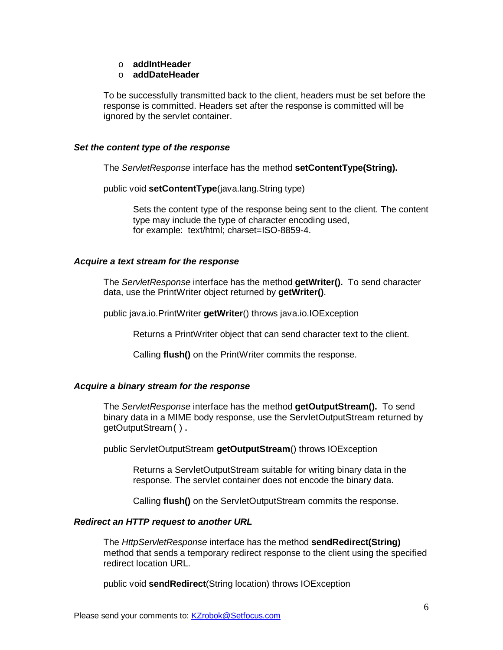o **addIntHeader**

#### o **addDateHeader**

To be successfully transmitted back to the client, headers must be set before the response is committed. Headers set after the response is committed will be ignored by the servlet container.

#### *Set the content type of the response*

The *ServletResponse* interface has the method **setContentType(String).**

public void **setContentType**(java.lang.String type)

Sets the content type of the response being sent to the client. The content type may include the type of character encoding used, for example: text/html; charset=ISO-8859-4.

#### *Acquire a text stream for the response*

The *ServletResponse* interface has the method **getWriter().** To send character data, use the PrintWriter object returned by **getWriter()**.

public java.io.PrintWriter **getWriter**() throws java.io.IOException

Returns a PrintWriter object that can send character text to the client.

Calling **flush()** on the PrintWriter commits the response.

## *Acquire a binary stream for the response*

The *ServletResponse* interface has the method **getOutputStream().** To send binary data in a MIME body response, use the ServletOutputStream returned by getOutputStream().

public ServletOutputStream **getOutputStream**() throws IOException

Returns a ServletOutputStream suitable for writing binary data in the response. The servlet container does not encode the binary data.

Calling **flush()** on the ServletOutputStream commits the response.

#### *Redirect an HTTP request to another URL*

The *HttpServletResponse* interface has the method **sendRedirect(String)**  method that sends a temporary redirect response to the client using the specified redirect location URL.

public void **sendRedirect**(String location) throws IOException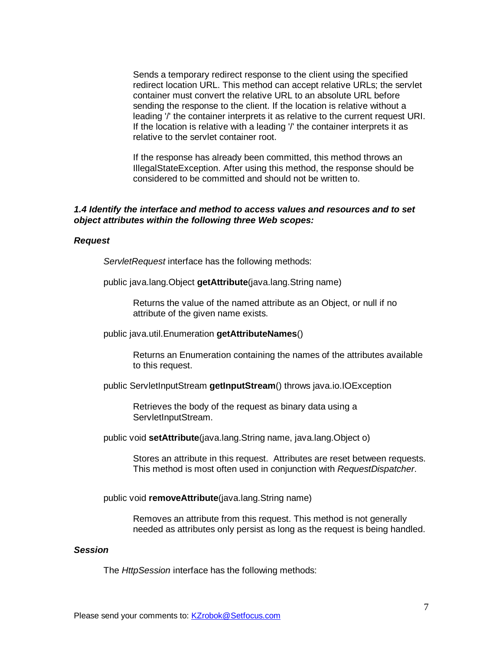Sends a temporary redirect response to the client using the specified redirect location URL. This method can accept relative URLs; the servlet container must convert the relative URL to an absolute URL before sending the response to the client. If the location is relative without a leading '/' the container interprets it as relative to the current request URI. If the location is relative with a leading '/' the container interprets it as relative to the servlet container root.

If the response has already been committed, this method throws an IllegalStateException. After using this method, the response should be considered to be committed and should not be written to.

#### *1.4 Identify the interface and method to access values and resources and to set object attributes within the following three Web scopes:*

#### *Request*

*ServletRequest* interface has the following methods:

public java.lang.Object **getAttribute**(java.lang.String name)

Returns the value of the named attribute as an Object, or null if no attribute of the given name exists.

public java.util.Enumeration **getAttributeNames**()

Returns an Enumeration containing the names of the attributes available to this request.

public ServletInputStream **getInputStream**() throws java.io.IOException

Retrieves the body of the request as binary data using a ServletInputStream.

public void **setAttribute**(java.lang.String name, java.lang.Object o)

Stores an attribute in this request. Attributes are reset between requests. This method is most often used in conjunction with *RequestDispatcher*.

public void **removeAttribute**(java.lang.String name)

Removes an attribute from this request. This method is not generally needed as attributes only persist as long as the request is being handled.

#### *Session*

The *HttpSession* interface has the following methods: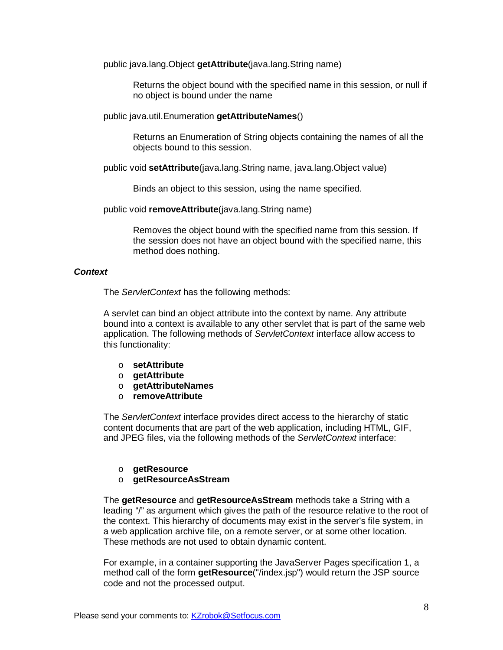public java.lang.Object **getAttribute**(java.lang.String name)

Returns the object bound with the specified name in this session, or null if no object is bound under the name

public java.util.Enumeration **getAttributeNames**()

Returns an Enumeration of String objects containing the names of all the objects bound to this session.

public void **setAttribute**(java.lang.String name, java.lang.Object value)

Binds an object to this session, using the name specified.

public void **removeAttribute**(java.lang.String name)

Removes the object bound with the specified name from this session. If the session does not have an object bound with the specified name, this method does nothing.

#### *Context*

The *ServletContext* has the following methods:

A servlet can bind an object attribute into the context by name. Any attribute bound into a context is available to any other servlet that is part of the same web application. The following methods of *ServletContext* interface allow access to this functionality:

- o **setAttribute**
- o **getAttribute**
- o **getAttributeNames**
- o **removeAttribute**

The *ServletContext* interface provides direct access to the hierarchy of static content documents that are part of the web application, including HTML, GIF, and JPEG files, via the following methods of the *ServletContext* interface:

#### o **getResource**

o **getResourceAsStream**

The **getResource** and **getResourceAsStream** methods take a String with a leading "/" as argument which gives the path of the resource relative to the root of the context. This hierarchy of documents may exist in the server's file system, in a web application archive file, on a remote server, or at some other location. These methods are not used to obtain dynamic content.

For example, in a container supporting the JavaServer Pages specification 1, a method call of the form **getResource**("/index.jsp") would return the JSP source code and not the processed output.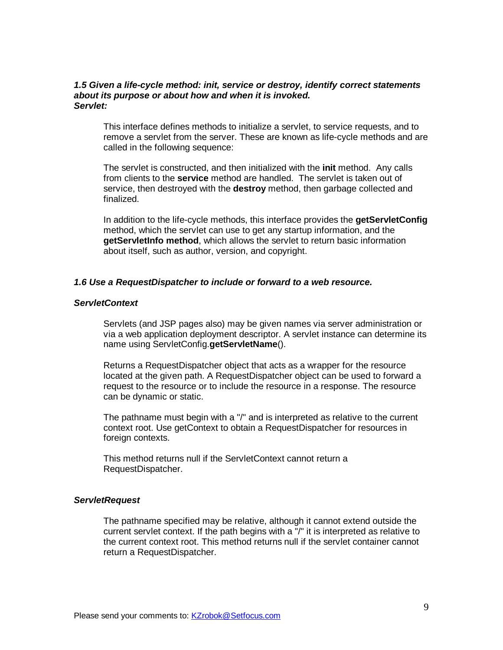#### *1.5 Given a life-cycle method: init, service or destroy, identify correct statements about its purpose or about how and when it is invoked. Servlet:*

This interface defines methods to initialize a servlet, to service requests, and to remove a servlet from the server. These are known as life-cycle methods and are called in the following sequence:

The servlet is constructed, and then initialized with the **init** method. Any calls from clients to the **service** method are handled. The servlet is taken out of service, then destroyed with the **destroy** method, then garbage collected and finalized.

In addition to the life-cycle methods, this interface provides the **getServletConfig** method, which the servlet can use to get any startup information, and the **getServletInfo method**, which allows the servlet to return basic information about itself, such as author, version, and copyright.

#### *1.6 Use a RequestDispatcher to include or forward to a web resource.*

### *ServletContext*

Servlets (and JSP pages also) may be given names via server administration or via a web application deployment descriptor. A servlet instance can determine its name using ServletConfig.**getServletName**().

Returns a RequestDispatcher object that acts as a wrapper for the resource located at the given path. A RequestDispatcher object can be used to forward a request to the resource or to include the resource in a response. The resource can be dynamic or static.

The pathname must begin with a "/" and is interpreted as relative to the current context root. Use getContext to obtain a RequestDispatcher for resources in foreign contexts.

This method returns null if the ServletContext cannot return a RequestDispatcher.

#### *ServletRequest*

The pathname specified may be relative, although it cannot extend outside the current servlet context. If the path begins with a "/" it is interpreted as relative to the current context root. This method returns null if the servlet container cannot return a RequestDispatcher.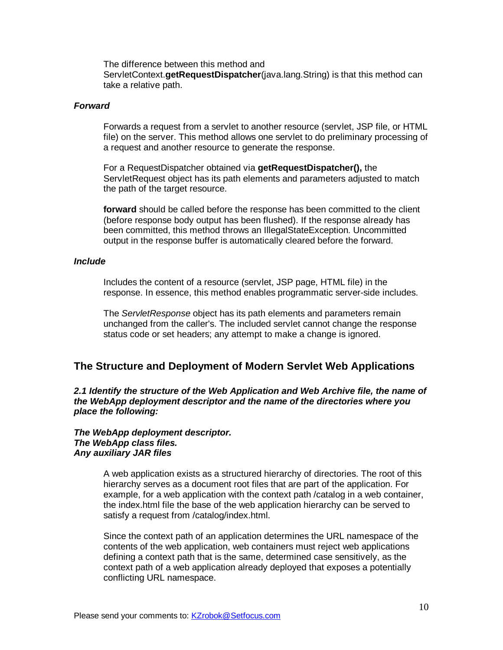The difference between this method and ServletContext.**getRequestDispatcher**(java.lang.String) is that this method can take a relative path.

#### *Forward*

Forwards a request from a servlet to another resource (servlet, JSP file, or HTML file) on the server. This method allows one servlet to do preliminary processing of a request and another resource to generate the response.

For a RequestDispatcher obtained via **getRequestDispatcher(),** the ServletRequest object has its path elements and parameters adjusted to match the path of the target resource.

**forward** should be called before the response has been committed to the client (before response body output has been flushed). If the response already has been committed, this method throws an IllegalStateException. Uncommitted output in the response buffer is automatically cleared before the forward.

#### *Include*

Includes the content of a resource (servlet, JSP page, HTML file) in the response. In essence, this method enables programmatic server-side includes.

The *ServletResponse* object has its path elements and parameters remain unchanged from the caller's. The included servlet cannot change the response status code or set headers; any attempt to make a change is ignored.

## **The Structure and Deployment of Modern Servlet Web Applications**

2.1 Identify the structure of the Web Application and Web Archive file, the name of *the WebApp deployment descriptor and the name of the directories where you place the following:*

#### *The WebApp deployment descriptor. The WebApp class files. Any auxiliary JAR files*

A web application exists as a structured hierarchy of directories. The root of this hierarchy serves as a document root files that are part of the application. For example, for a web application with the context path /catalog in a web container, the index.html file the base of the web application hierarchy can be served to satisfy a request from /catalog/index.html.

Since the context path of an application determines the URL namespace of the contents of the web application, web containers must reject web applications defining a context path that is the same, determined case sensitively, as the context path of a web application already deployed that exposes a potentially conflicting URL namespace.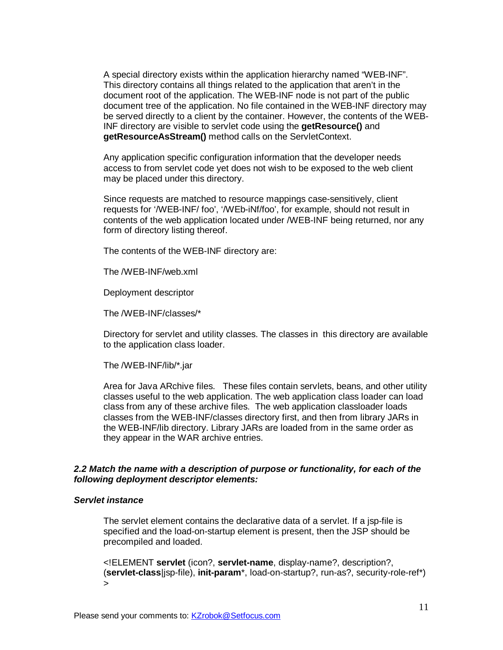A special directory exists within the application hierarchy named "WEB-INF". This directory contains all things related to the application that aren't in the document root of the application. The WEB-INF node is not part of the public document tree of the application. No file contained in the WEB-INF directory may be served directly to a client by the container. However, the contents of the WEB-INF directory are visible to servlet code using the **getResource()** and **getResourceAsStream()** method calls on the ServletContext.

Any application specific configuration information that the developer needs access to from servlet code yet does not wish to be exposed to the web client may be placed under this directory.

Since requests are matched to resource mappings case-sensitively, client requests for '/WEB-INF/ foo', '/WEb-iNf/foo', for example, should not result in contents of the web application located under /WEB-INF being returned, nor any form of directory listing thereof.

The contents of the WEB-INF directory are:

The /WEB-INF/web.xml

Deployment descriptor

The /WEB-INF/classes/\*

Directory for servlet and utility classes. The classes in this directory are available to the application class loader.

The /WEB-INF/lib/\*.jar

Area for Java ARchive files. These files contain servlets, beans, and other utility classes useful to the web application. The web application class loader can load class from any of these archive files. The web application classloader loads classes from the WEB-INF/classes directory first, and then from library JARs in the WEB-INF/lib directory. Library JARs are loaded from in the same order as they appear in the WAR archive entries.

## *2.2 Match the name with a description of purpose or functionality, for each of the following deployment descriptor elements:*

#### *Servlet instance*

The servlet element contains the declarative data of a servlet. If a jsp-file is specified and the load-on-startup element is present, then the JSP should be precompiled and loaded.

<!ELEMENT **servlet** (icon?, **servlet-name**, display-name?, description?, (**servlet-class**|jsp-file), **init-param**\*, load-on-startup?, run-as?, security-role-ref\*) >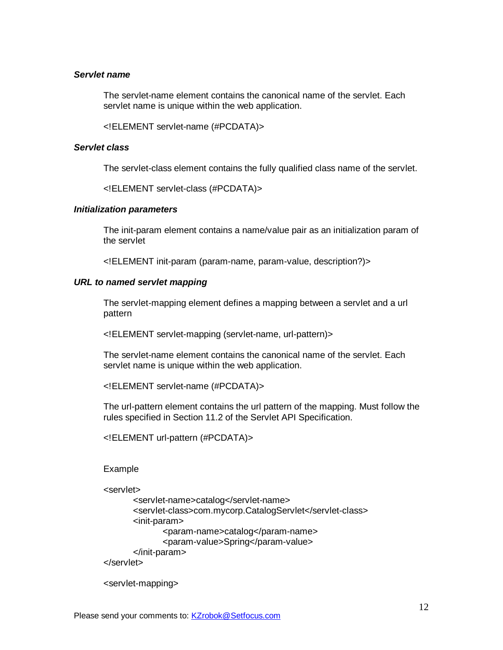#### *Servlet name*

The servlet-name element contains the canonical name of the servlet. Each servlet name is unique within the web application.

<!ELEMENT servlet-name (#PCDATA)>

#### *Servlet class*

The servlet-class element contains the fully qualified class name of the servlet.

<!ELEMENT servlet-class (#PCDATA)>

#### *Initialization parameters*

The init-param element contains a name/value pair as an initialization param of the servlet

<!ELEMENT init-param (param-name, param-value, description?)>

#### *URL to named servlet mapping*

The servlet-mapping element defines a mapping between a servlet and a url pattern

<!ELEMENT servlet-mapping (servlet-name, url-pattern)>

The servlet-name element contains the canonical name of the servlet. Each servlet name is unique within the web application.

<!ELEMENT servlet-name (#PCDATA)>

The url-pattern element contains the url pattern of the mapping. Must follow the rules specified in Section 11.2 of the Servlet API Specification.

<!ELEMENT url-pattern (#PCDATA)>

#### Example

<servlet>

<servlet-name>catalog</servlet-name> <servlet-class>com.mycorp.CatalogServlet</servlet-class> <init-param> <param-name>catalog</param-name> <param-value>Spring</param-value> </init-param> </servlet>

<servlet-mapping>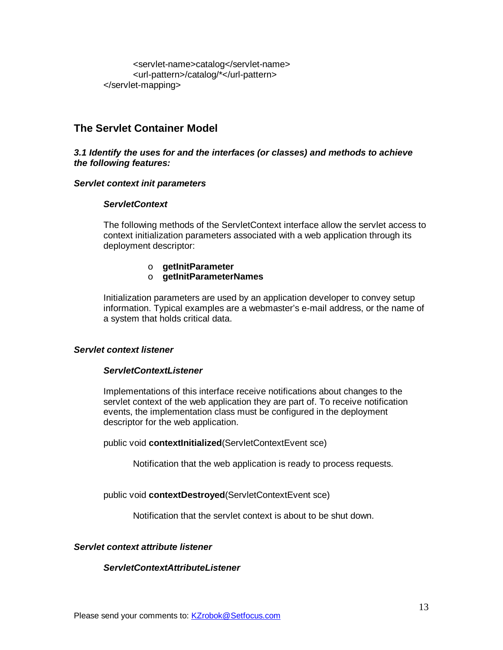<servlet-name>catalog</servlet-name> <url-pattern>/catalog/\*</url-pattern> </servlet-mapping>

## **The Servlet Container Model**

*3.1 Identify the uses for and the interfaces (or classes) and methods to achieve the following features:*

#### *Servlet context init parameters*

#### *ServletContext*

The following methods of the ServletContext interface allow the servlet access to context initialization parameters associated with a web application through its deployment descriptor:

o **getInitParameter**

#### o **getInitParameterNames**

Initialization parameters are used by an application developer to convey setup information. Typical examples are a webmaster's e-mail address, or the name of a system that holds critical data.

#### *Servlet context listener*

#### *ServletContextListener*

Implementations of this interface receive notifications about changes to the servlet context of the web application they are part of. To receive notification events, the implementation class must be configured in the deployment descriptor for the web application.

public void **contextInitialized**(ServletContextEvent sce)

Notification that the web application is ready to process requests.

public void **contextDestroyed**(ServletContextEvent sce)

Notification that the servlet context is about to be shut down.

#### *Servlet context attribute listener*

#### *ServletContextAttributeListener*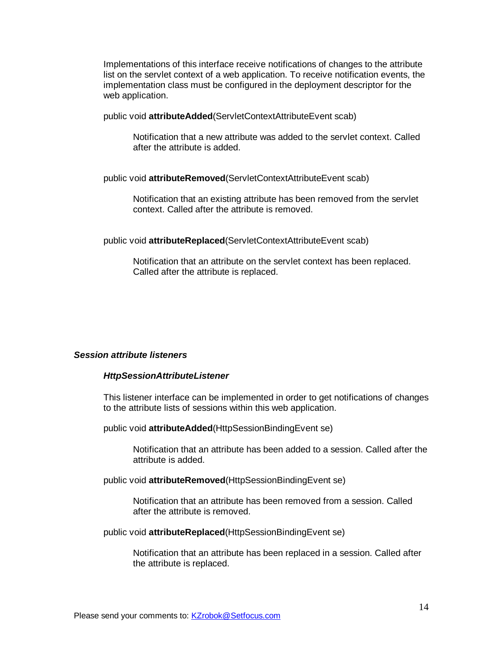Implementations of this interface receive notifications of changes to the attribute list on the servlet context of a web application. To receive notification events, the implementation class must be configured in the deployment descriptor for the web application.

public void **attributeAdded**(ServletContextAttributeEvent scab)

Notification that a new attribute was added to the servlet context. Called after the attribute is added.

public void **attributeRemoved**(ServletContextAttributeEvent scab)

Notification that an existing attribute has been removed from the servlet context. Called after the attribute is removed.

public void **attributeReplaced**(ServletContextAttributeEvent scab)

Notification that an attribute on the servlet context has been replaced. Called after the attribute is replaced.

#### *Session attribute listeners*

#### *HttpSessionAttributeListener*

This listener interface can be implemented in order to get notifications of changes to the attribute lists of sessions within this web application.

public void **attributeAdded**(HttpSessionBindingEvent se)

Notification that an attribute has been added to a session. Called after the attribute is added.

public void **attributeRemoved**(HttpSessionBindingEvent se)

Notification that an attribute has been removed from a session. Called after the attribute is removed.

public void **attributeReplaced**(HttpSessionBindingEvent se)

Notification that an attribute has been replaced in a session. Called after the attribute is replaced.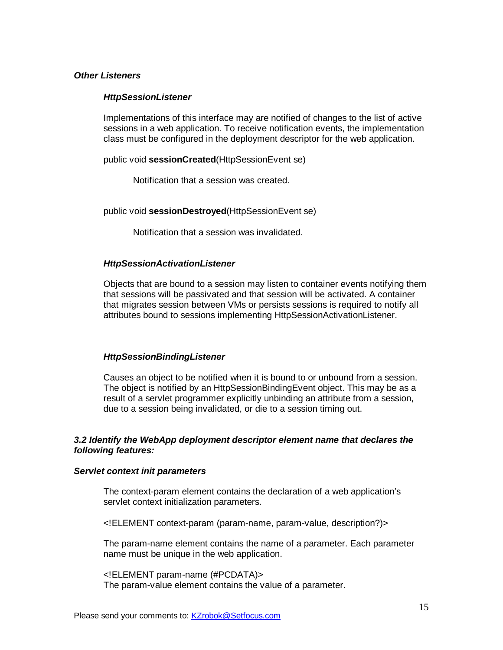#### *Other Listeners*

#### *HttpSessionListener*

Implementations of this interface may are notified of changes to the list of active sessions in a web application. To receive notification events, the implementation class must be configured in the deployment descriptor for the web application.

public void **sessionCreated**(HttpSessionEvent se)

Notification that a session was created.

public void **sessionDestroyed**(HttpSessionEvent se)

Notification that a session was invalidated.

#### *HttpSessionActivationListener*

Objects that are bound to a session may listen to container events notifying them that sessions will be passivated and that session will be activated. A container that migrates session between VMs or persists sessions is required to notify all attributes bound to sessions implementing HttpSessionActivationListener.

#### *HttpSessionBindingListener*

Causes an object to be notified when it is bound to or unbound from a session. The object is notified by an HttpSessionBindingEvent object. This may be as a result of a servlet programmer explicitly unbinding an attribute from a session, due to a session being invalidated, or die to a session timing out.

#### *3.2 Identify the WebApp deployment descriptor element name that declares the following features:*

#### *Servlet context init parameters*

The context-param element contains the declaration of a web application's servlet context initialization parameters.

<!ELEMENT context-param (param-name, param-value, description?)>

The param-name element contains the name of a parameter. Each parameter name must be unique in the web application.

<!ELEMENT param-name (#PCDATA)> The param-value element contains the value of a parameter.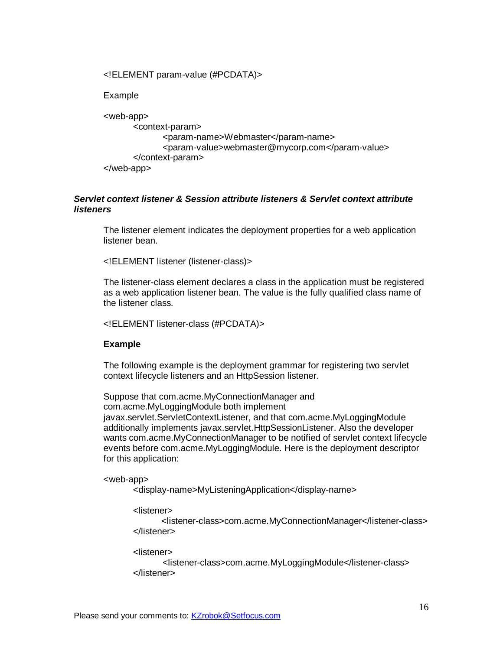<!ELEMENT param-value (#PCDATA)>

Example

```
<web-app>
      <context-param>
            <param-name>Webmaster</param-name>
            <param-value>webmaster@mycorp.com</param-value>
      </context-param>
</web-app>
```
## *Servlet context listener & Session attribute listeners & Servlet context attribute listeners*

The listener element indicates the deployment properties for a web application listener bean.

<!ELEMENT listener (listener-class)>

The listener-class element declares a class in the application must be registered as a web application listener bean. The value is the fully qualified class name of the listener class.

<!ELEMENT listener-class (#PCDATA)>

#### **Example**

The following example is the deployment grammar for registering two servlet context lifecycle listeners and an HttpSession listener.

Suppose that com.acme.MyConnectionManager and com.acme.MyLoggingModule both implement javax.servlet.ServletContextListener, and that com.acme.MyLoggingModule additionally implements javax.servlet.HttpSessionListener. Also the developer wants com.acme.MyConnectionManager to be notified of servlet context lifecycle events before com.acme.MyLoggingModule. Here is the deployment descriptor for this application:

<web-app>

<display-name>MyListeningApplication</display-name>

<listener>

 <listener-class>com.acme.MyConnectionManager</listener-class> </listener>

<listener>

<listener-class>com.acme.MyLoggingModule</listener-class> </listener>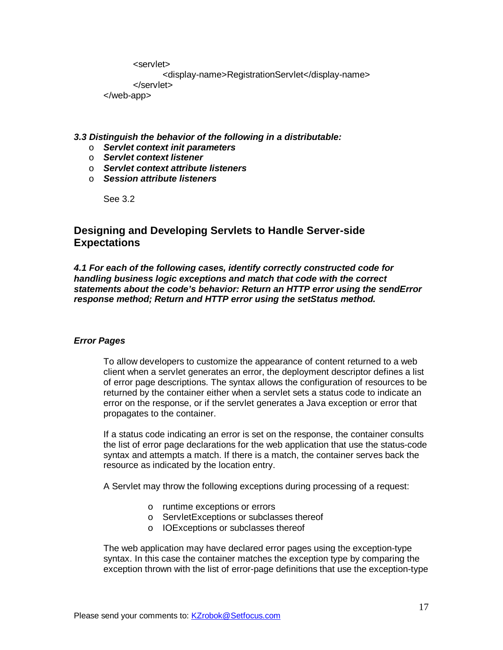<servlet> <display-name>RegistrationServlet</display-name> </servlet> </web-app>

*3.3 Distinguish the behavior of the following in a distributable:*

- o *Servlet context init parameters*
- o *Servlet context listener*
- o *Servlet context attribute listeners*
- o *Session attribute listeners*

See 3.2

## **Designing and Developing Servlets to Handle Server-side Expectations**

*4.1 For each of the following cases, identify correctly constructed code for handling business logic exceptions and match that code with the correct statements about the code's behavior: Return an HTTP error using the sendError response method; Return and HTTP error using the setStatus method.*

#### *Error Pages*

To allow developers to customize the appearance of content returned to a web client when a servlet generates an error, the deployment descriptor defines a list of error page descriptions. The syntax allows the configuration of resources to be returned by the container either when a servlet sets a status code to indicate an error on the response, or if the servlet generates a Java exception or error that propagates to the container.

If a status code indicating an error is set on the response, the container consults the list of error page declarations for the web application that use the status-code syntax and attempts a match. If there is a match, the container serves back the resource as indicated by the location entry.

A Servlet may throw the following exceptions during processing of a request:

- o runtime exceptions or errors
- o ServletExceptions or subclasses thereof
- o IOExceptions or subclasses thereof

The web application may have declared error pages using the exception-type syntax. In this case the container matches the exception type by comparing the exception thrown with the list of error-page definitions that use the exception-type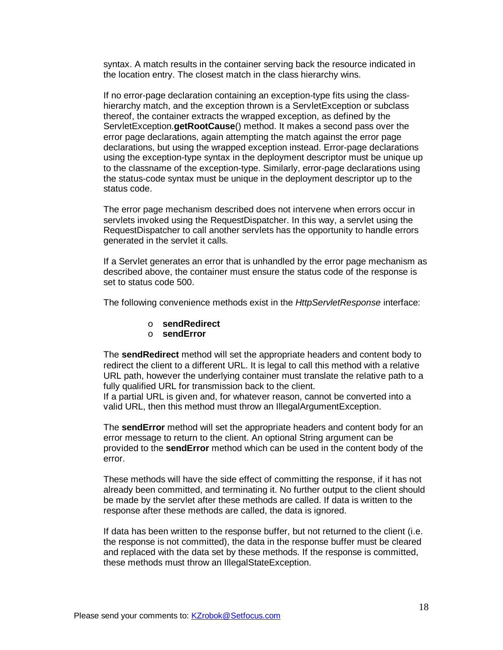syntax. A match results in the container serving back the resource indicated in the location entry. The closest match in the class hierarchy wins.

If no error-page declaration containing an exception-type fits using the classhierarchy match, and the exception thrown is a ServletException or subclass thereof, the container extracts the wrapped exception, as defined by the ServletException.**getRootCause**() method. It makes a second pass over the error page declarations, again attempting the match against the error page declarations, but using the wrapped exception instead. Error-page declarations using the exception-type syntax in the deployment descriptor must be unique up to the classname of the exception-type. Similarly, error-page declarations using the status-code syntax must be unique in the deployment descriptor up to the status code.

The error page mechanism described does not intervene when errors occur in servlets invoked using the RequestDispatcher. In this way, a servlet using the RequestDispatcher to call another servlets has the opportunity to handle errors generated in the servlet it calls.

If a Servlet generates an error that is unhandled by the error page mechanism as described above, the container must ensure the status code of the response is set to status code 500.

The following convenience methods exist in the *HttpServletResponse* interface:

- o **sendRedirect**
- o **sendError**

The **sendRedirect** method will set the appropriate headers and content body to redirect the client to a different URL. It is legal to call this method with a relative URL path, however the underlying container must translate the relative path to a fully qualified URL for transmission back to the client.

If a partial URL is given and, for whatever reason, cannot be converted into a valid URL, then this method must throw an IllegalArgumentException.

The **sendError** method will set the appropriate headers and content body for an error message to return to the client. An optional String argument can be provided to the **sendError** method which can be used in the content body of the error.

These methods will have the side effect of committing the response, if it has not already been committed, and terminating it. No further output to the client should be made by the servlet after these methods are called. If data is written to the response after these methods are called, the data is ignored.

If data has been written to the response buffer, but not returned to the client (i.e. the response is not committed), the data in the response buffer must be cleared and replaced with the data set by these methods. If the response is committed, these methods must throw an IllegalStateException.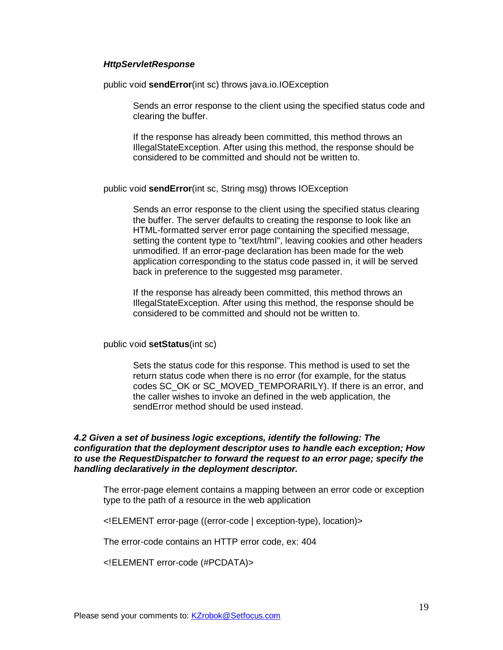#### *HttpServletResponse*

public void **sendError**(int sc) throws java.io.IOException

Sends an error response to the client using the specified status code and clearing the buffer.

If the response has already been committed, this method throws an IllegalStateException. After using this method, the response should be considered to be committed and should not be written to.

public void **sendError**(int sc, String msg) throws IOException

Sends an error response to the client using the specified status clearing the buffer. The server defaults to creating the response to look like an HTML-formatted server error page containing the specified message, setting the content type to "text/html", leaving cookies and other headers unmodified. If an error-page declaration has been made for the web application corresponding to the status code passed in, it will be served back in preference to the suggested msg parameter.

If the response has already been committed, this method throws an IllegalStateException. After using this method, the response should be considered to be committed and should not be written to.

public void **setStatus**(int sc)

Sets the status code for this response. This method is used to set the return status code when there is no error (for example, for the status codes SC\_OK or SC\_MOVED\_TEMPORARILY). If there is an error, and the caller wishes to invoke an defined in the web application, the sendError method should be used instead.

*4.2 Given a set of business logic exceptions, identify the following: The configuration that the deployment descriptor uses to handle each exception; How to use the RequestDispatcher to forward the request to an error page; specify the handling declaratively in the deployment descriptor.*

The error-page element contains a mapping between an error code or exception type to the path of a resource in the web application

<!ELEMENT error-page ((error-code | exception-type), location)>

The error-code contains an HTTP error code, ex: 404

<!ELEMENT error-code (#PCDATA)>

Please send your comments to: KZrobok@Setfocus.com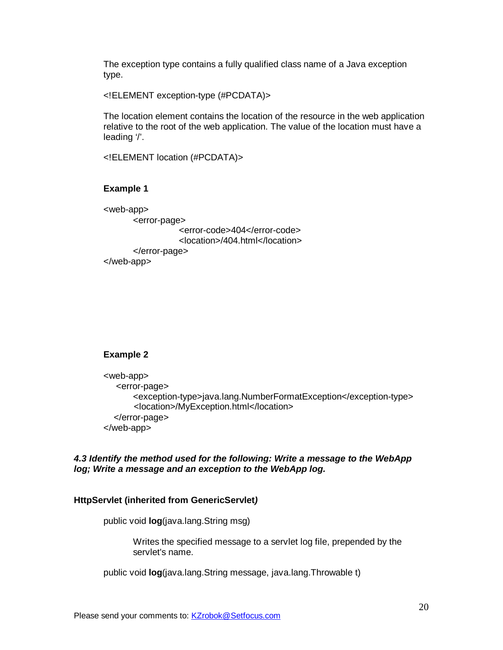The exception type contains a fully qualified class name of a Java exception type.

<!ELEMENT exception-type (#PCDATA)>

The location element contains the location of the resource in the web application relative to the root of the web application. The value of the location must have a leading '/'.

<!ELEMENT location (#PCDATA)>

#### **Example 1**

<web-app> <error-page> <error-code>404</error-code> <location>/404.html</location> </error-page> </web-app>

## **Example 2**

<web-app> <error-page> <exception-type>java.lang.NumberFormatException</exception-type> <location>/MyException.html</location> </error-page> </web-app>

*4.3 Identify the method used for the following: Write a message to the WebApp log; Write a message and an exception to the WebApp log.*

#### **HttpServlet (inherited from GenericServlet***)*

public void **log**(java.lang.String msg)

Writes the specified message to a servlet log file, prepended by the servlet's name.

public void **log**(java.lang.String message, java.lang.Throwable t)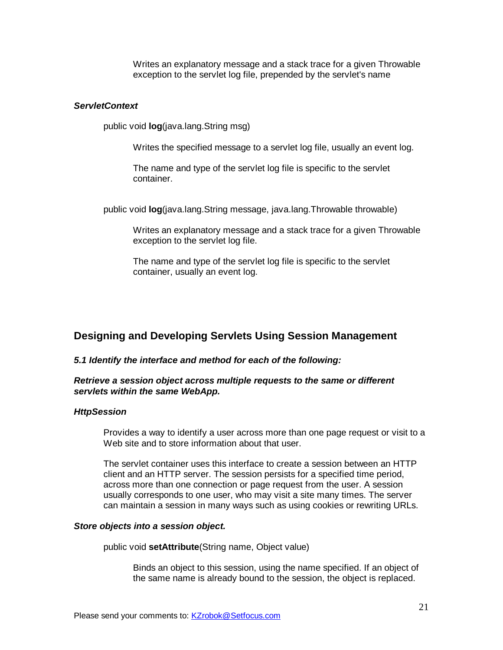Writes an explanatory message and a stack trace for a given Throwable exception to the servlet log file, prepended by the servlet's name

#### *ServletContext*

public void **log**(java.lang.String msg)

Writes the specified message to a servlet log file, usually an event log.

The name and type of the servlet log file is specific to the servlet container.

public void **log**(java.lang.String message, java.lang.Throwable throwable)

Writes an explanatory message and a stack trace for a given Throwable exception to the servlet log file.

The name and type of the servlet log file is specific to the servlet container, usually an event log.

## **Designing and Developing Servlets Using Session Management**

#### *5.1 Identify the interface and method for each of the following:*

#### *Retrieve a session object across multiple requests to the same or different servlets within the same WebApp.*

#### *HttpSession*

Provides a way to identify a user across more than one page request or visit to a Web site and to store information about that user.

The servlet container uses this interface to create a session between an HTTP client and an HTTP server. The session persists for a specified time period, across more than one connection or page request from the user. A session usually corresponds to one user, who may visit a site many times. The server can maintain a session in many ways such as using cookies or rewriting URLs.

#### *Store objects into a session object.*

public void **setAttribute**(String name, Object value)

Binds an object to this session, using the name specified. If an object of the same name is already bound to the session, the object is replaced.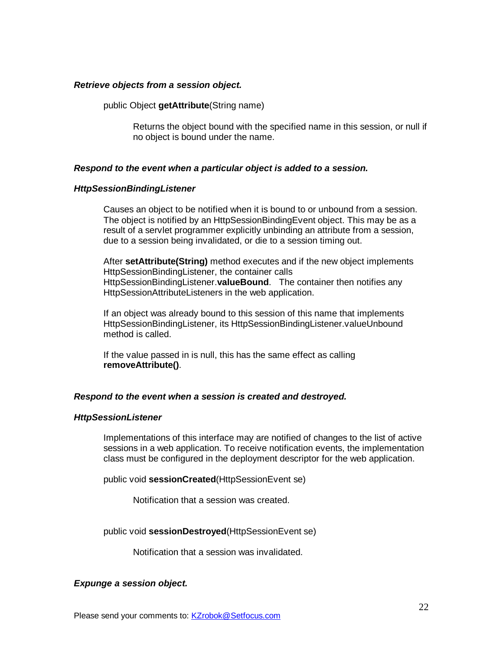#### *Retrieve objects from a session object.*

public Object **getAttribute**(String name)

Returns the object bound with the specified name in this session, or null if no object is bound under the name.

#### *Respond to the event when a particular object is added to a session.*

#### *HttpSessionBindingListener*

Causes an object to be notified when it is bound to or unbound from a session. The object is notified by an HttpSessionBindingEvent object. This may be as a result of a servlet programmer explicitly unbinding an attribute from a session, due to a session being invalidated, or die to a session timing out.

After **setAttribute(String)** method executes and if the new object implements HttpSessionBindingListener, the container calls HttpSessionBindingListener.**valueBound**. The container then notifies any HttpSessionAttributeListeners in the web application.

If an object was already bound to this session of this name that implements HttpSessionBindingListener, its HttpSessionBindingListener.valueUnbound method is called.

If the value passed in is null, this has the same effect as calling **removeAttribute()**.

#### *Respond to the event when a session is created and destroyed.*

#### *HttpSessionListener*

Implementations of this interface may are notified of changes to the list of active sessions in a web application. To receive notification events, the implementation class must be configured in the deployment descriptor for the web application.

public void **sessionCreated**(HttpSessionEvent se)

Notification that a session was created.

public void **sessionDestroyed**(HttpSessionEvent se)

Notification that a session was invalidated.

#### *Expunge a session object.*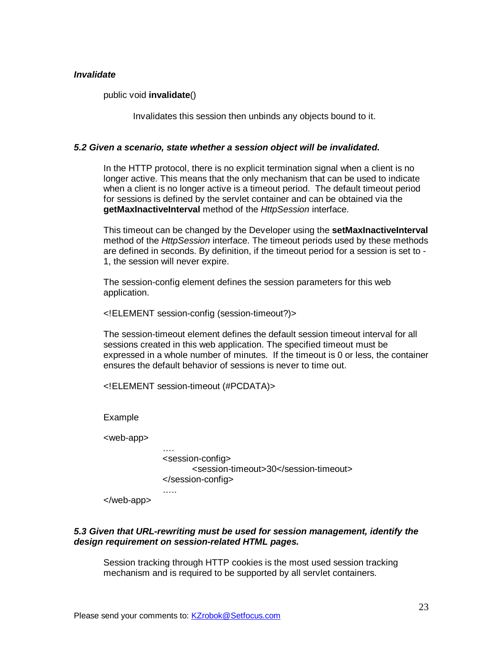#### *Invalidate*

public void **invalidate**()

Invalidates this session then unbinds any objects bound to it.

#### *5.2 Given a scenario, state whether a session object will be invalidated.*

In the HTTP protocol, there is no explicit termination signal when a client is no longer active. This means that the only mechanism that can be used to indicate when a client is no longer active is a timeout period. The default timeout period for sessions is defined by the servlet container and can be obtained via the **getMaxInactiveInterval** method of the *HttpSession* interface.

This timeout can be changed by the Developer using the **setMaxInactiveInterval** method of the *HttpSession* interface. The timeout periods used by these methods are defined in seconds. By definition, if the timeout period for a session is set to - 1, the session will never expire.

The session-config element defines the session parameters for this web application.

<!ELEMENT session-config (session-timeout?)>

The session-timeout element defines the default session timeout interval for all sessions created in this web application. The specified timeout must be expressed in a whole number of minutes. If the timeout is 0 or less, the container ensures the default behavior of sessions is never to time out.

<!ELEMENT session-timeout (#PCDATA)>

Example

<web-app>

… . <session-config> <session-timeout>30</session-timeout> </session-config>

</web-app>

#### *5.3 Given that URL-rewriting must be used for session management, identify the design requirement on session-related HTML pages.*

Session tracking through HTTP cookies is the most used session tracking mechanism and is required to be supported by all servlet containers.

… ..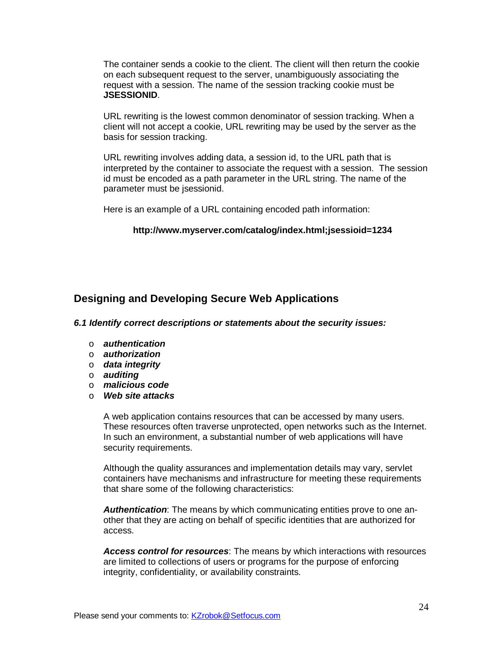The container sends a cookie to the client. The client will then return the cookie on each subsequent request to the server, unambiguously associating the request with a session. The name of the session tracking cookie must be **JSESSIONID**.

URL rewriting is the lowest common denominator of session tracking. When a client will not accept a cookie, URL rewriting may be used by the server as the basis for session tracking.

URL rewriting involves adding data, a session id, to the URL path that is interpreted by the container to associate the request with a session. The session id must be encoded as a path parameter in the URL string. The name of the parameter must be jsessionid.

Here is an example of a URL containing encoded path information:

#### **http://www.myserver.com/catalog/index.html;jsessioid=1234**

## **Designing and Developing Secure Web Applications**

*6.1 Identify correct descriptions or statements about the security issues:*

- o *authentication*
- o *authorization*
- o *data integrity*
- o *auditing*
- o *malicious code*
- o *Web site attacks*

A web application contains resources that can be accessed by many users. These resources often traverse unprotected, open networks such as the Internet. In such an environment, a substantial number of web applications will have security requirements.

Although the quality assurances and implementation details may vary, servlet containers have mechanisms and infrastructure for meeting these requirements that share some of the following characteristics:

*Authentication*: The means by which communicating entities prove to one another that they are acting on behalf of specific identities that are authorized for access.

*Access control for resources*: The means by which interactions with resources are limited to collections of users or programs for the purpose of enforcing integrity, confidentiality, or availability constraints.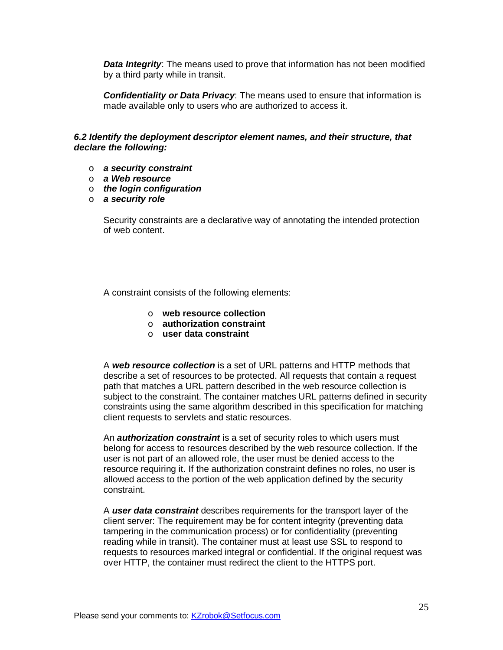*Data Integrity:* The means used to prove that information has not been modified by a third party while in transit.

*Confidentiality or Data Privacy*: The means used to ensure that information is made available only to users who are authorized to access it.

#### *6.2 Identify the deployment descriptor element names, and their structure, that declare the following:*

- o *a security constraint*
- o *a Web resource*
- o *the login configuration*
- o *a security role*

Security constraints are a declarative way of annotating the intended protection of web content.

A constraint consists of the following elements:

- o **web resource collection**
- o **authorization constraint**
- o **user data constraint**

A *web resource collection* is a set of URL patterns and HTTP methods that describe a set of resources to be protected. All requests that contain a request path that matches a URL pattern described in the web resource collection is subject to the constraint. The container matches URL patterns defined in security constraints using the same algorithm described in this specification for matching client requests to servlets and static resources.

An *authorization constraint* is a set of security roles to which users must belong for access to resources described by the web resource collection. If the user is not part of an allowed role, the user must be denied access to the resource requiring it. If the authorization constraint defines no roles, no user is allowed access to the portion of the web application defined by the security constraint.

A *user data constraint* describes requirements for the transport layer of the client server: The requirement may be for content integrity (preventing data tampering in the communication process) or for confidentiality (preventing reading while in transit). The container must at least use SSL to respond to requests to resources marked integral or confidential. If the original request was over HTTP, the container must redirect the client to the HTTPS port.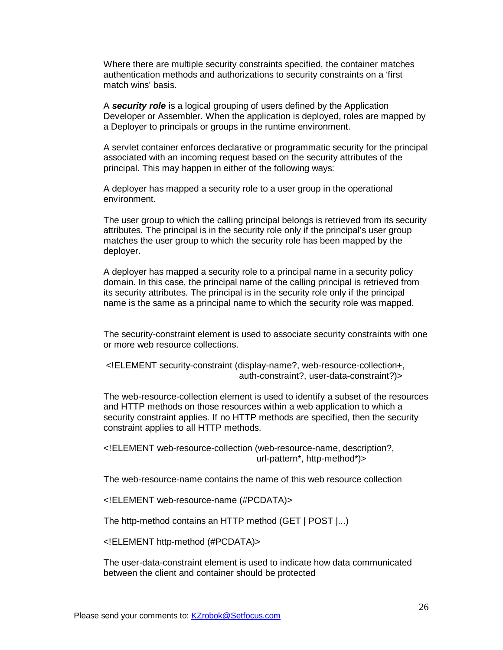Where there are multiple security constraints specified, the container matches authentication methods and authorizations to security constraints on a 'first match wins' basis.

A *security role* is a logical grouping of users defined by the Application Developer or Assembler. When the application is deployed, roles are mapped by a Deployer to principals or groups in the runtime environment.

A servlet container enforces declarative or programmatic security for the principal associated with an incoming request based on the security attributes of the principal. This may happen in either of the following ways:

A deployer has mapped a security role to a user group in the operational environment.

The user group to which the calling principal belongs is retrieved from its security attributes. The principal is in the security role only if the principal's user group matches the user group to which the security role has been mapped by the deployer.

A deployer has mapped a security role to a principal name in a security policy domain. In this case, the principal name of the calling principal is retrieved from its security attributes. The principal is in the security role only if the principal name is the same as a principal name to which the security role was mapped.

The security-constraint element is used to associate security constraints with one or more web resource collections.

 <!ELEMENT security-constraint (display-name?, web-resource-collection+, auth-constraint?, user-data-constraint?)>

The web-resource-collection element is used to identify a subset of the resources and HTTP methods on those resources within a web application to which a security constraint applies. If no HTTP methods are specified, then the security constraint applies to all HTTP methods.

<!ELEMENT web-resource-collection (web-resource-name, description?, url-pattern\*, http-method\*)>

The web-resource-name contains the name of this web resource collection

<!ELEMENT web-resource-name (#PCDATA)>

The http-method contains an HTTP method (GET | POST |...)

<!ELEMENT http-method (#PCDATA)>

The user-data-constraint element is used to indicate how data communicated between the client and container should be protected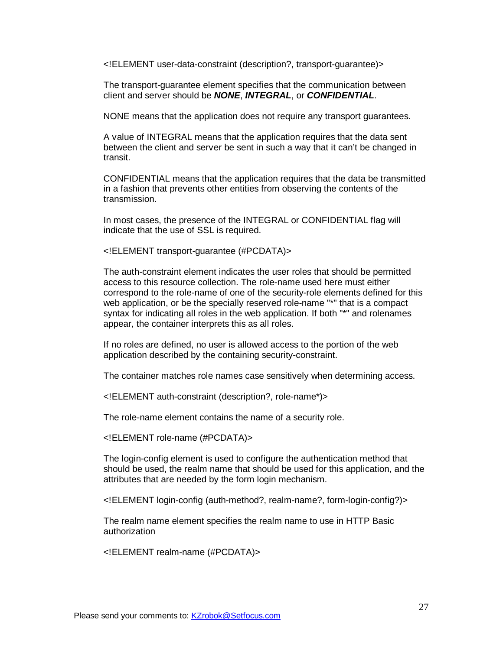<!ELEMENT user-data-constraint (description?, transport-guarantee)>

The transport-guarantee element specifies that the communication between client and server should be *NONE*, *INTEGRAL*, or *CONFIDENTIAL*.

NONE means that the application does not require any transport guarantees.

A value of INTEGRAL means that the application requires that the data sent between the client and server be sent in such a way that it can't be changed in transit.

CONFIDENTIAL means that the application requires that the data be transmitted in a fashion that prevents other entities from observing the contents of the transmission.

In most cases, the presence of the INTEGRAL or CONFIDENTIAL flag will indicate that the use of SSL is required.

<!ELEMENT transport-guarantee (#PCDATA)>

The auth-constraint element indicates the user roles that should be permitted access to this resource collection. The role-name used here must either correspond to the role-name of one of the security-role elements defined for this web application, or be the specially reserved role-name "\*" that is a compact syntax for indicating all roles in the web application. If both "\*" and rolenames appear, the container interprets this as all roles.

If no roles are defined, no user is allowed access to the portion of the web application described by the containing security-constraint.

The container matches role names case sensitively when determining access.

<!ELEMENT auth-constraint (description?, role-name\*)>

The role-name element contains the name of a security role.

<!ELEMENT role-name (#PCDATA)>

The login-config element is used to configure the authentication method that should be used, the realm name that should be used for this application, and the attributes that are needed by the form login mechanism.

<!ELEMENT login-config (auth-method?, realm-name?, form-login-config?)>

The realm name element specifies the realm name to use in HTTP Basic authorization

<!ELEMENT realm-name (#PCDATA)>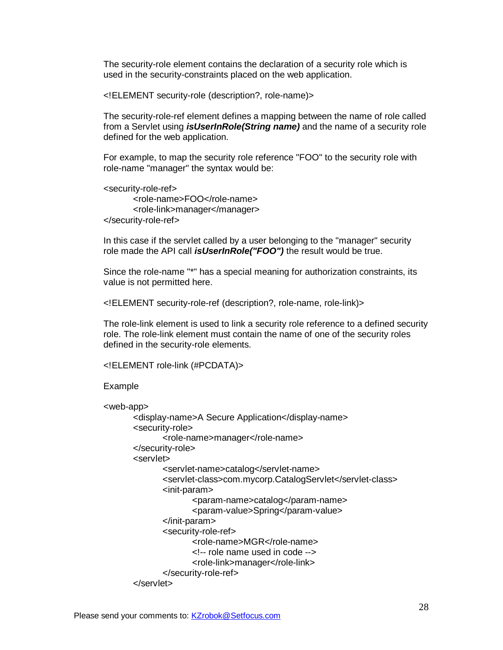The security-role element contains the declaration of a security role which is used in the security-constraints placed on the web application.

<!ELEMENT security-role (description?, role-name)>

The security-role-ref element defines a mapping between the name of role called from a Servlet using *isUserInRole(String name)* and the name of a security role defined for the web application.

For example, to map the security role reference "FOO" to the security role with role-name "manager" the syntax would be:

<security-role-ref> <role-name>FOO</role-name> <role-link>manager</manager> </security-role-ref>

In this case if the servlet called by a user belonging to the "manager" security role made the API call *isUserInRole("FOO")* the result would be true.

Since the role-name "\*" has a special meaning for authorization constraints, its value is not permitted here.

<!ELEMENT security-role-ref (description?, role-name, role-link)>

The role-link element is used to link a security role reference to a defined security role. The role-link element must contain the name of one of the security roles defined in the security-role elements.

<!ELEMENT role-link (#PCDATA)>

Example

<web-app>

<display-name>A Secure Application</display-name> <security-role> <role-name>manager</role-name> </security-role> <servlet> <servlet-name>catalog</servlet-name> <servlet-class>com.mycorp.CatalogServlet</servlet-class> <init-param> <param-name>catalog</param-name> <param-value>Spring</param-value> </init-param> <security-role-ref> <role-name>MGR</role-name> <!-- role name used in code --> <role-link>manager</role-link> </security-role-ref> </servlet>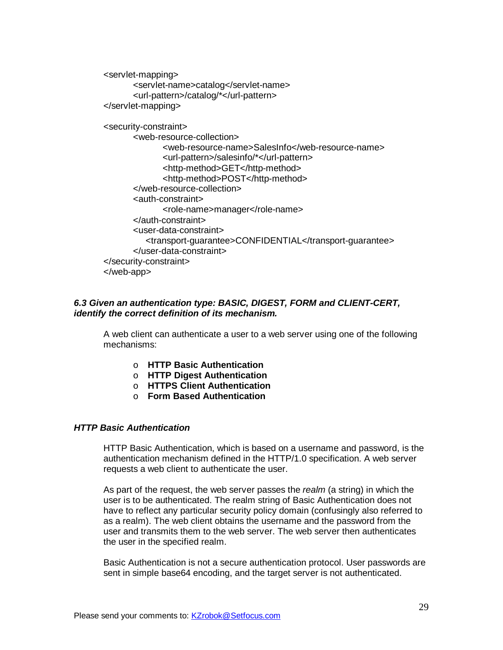<servlet-mapping> <servlet-name>catalog</servlet-name> <url-pattern>/catalog/\*</url-pattern> </servlet-mapping> <security-constraint> <web-resource-collection> <web-resource-name>SalesInfo</web-resource-name> <url-pattern>/salesinfo/\*</url-pattern> <http-method>GET</http-method> <http-method>POST</http-method> </web-resource-collection> <auth-constraint> <role-name>manager</role-name> </auth-constraint> <user-data-constraint> <transport-guarantee>CONFIDENTIAL</transport-guarantee> </user-data-constraint> </security-constraint> </web-app>

#### *6.3 Given an authentication type: BASIC, DIGEST, FORM and CLIENT-CERT, identify the correct definition of its mechanism.*

A web client can authenticate a user to a web server using one of the following mechanisms:

- o **HTTP Basic Authentication**
- o **HTTP Digest Authentication**
- o **HTTPS Client Authentication**
- o **Form Based Authentication**

#### *HTTP Basic Authentication*

HTTP Basic Authentication, which is based on a username and password, is the authentication mechanism defined in the HTTP/1.0 specification. A web server requests a web client to authenticate the user.

As part of the request, the web server passes the *realm* (a string) in which the user is to be authenticated. The realm string of Basic Authentication does not have to reflect any particular security policy domain (confusingly also referred to as a realm). The web client obtains the username and the password from the user and transmits them to the web server. The web server then authenticates the user in the specified realm.

Basic Authentication is not a secure authentication protocol. User passwords are sent in simple base64 encoding, and the target server is not authenticated.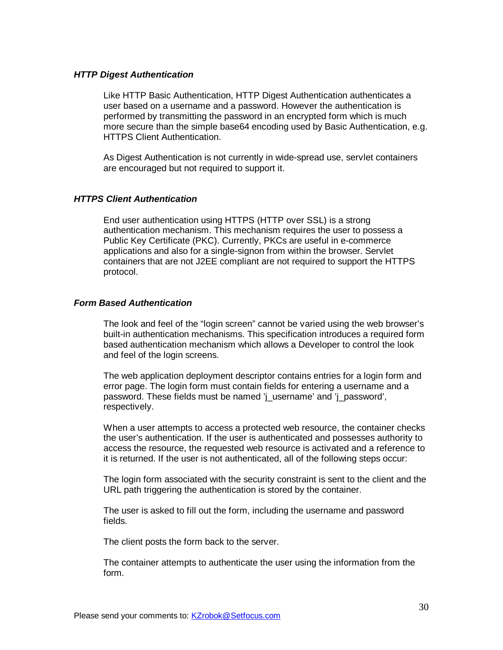#### *HTTP Digest Authentication*

Like HTTP Basic Authentication, HTTP Digest Authentication authenticates a user based on a username and a password. However the authentication is performed by transmitting the password in an encrypted form which is much more secure than the simple base64 encoding used by Basic Authentication, e.g. HTTPS Client Authentication.

As Digest Authentication is not currently in wide-spread use, servlet containers are encouraged but not required to support it.

#### *HTTPS Client Authentication*

End user authentication using HTTPS (HTTP over SSL) is a strong authentication mechanism. This mechanism requires the user to possess a Public Key Certificate (PKC). Currently, PKCs are useful in e-commerce applications and also for a single-signon from within the browser. Servlet containers that are not J2EE compliant are not required to support the HTTPS protocol.

### *Form Based Authentication*

The look and feel of the "login screen" cannot be varied using the web browser's built-in authentication mechanisms. This specification introduces a required form based authentication mechanism which allows a Developer to control the look and feel of the login screens.

The web application deployment descriptor contains entries for a login form and error page. The login form must contain fields for entering a username and a password. These fields must be named 'j username' and 'j password', respectively.

When a user attempts to access a protected web resource, the container checks the user's authentication. If the user is authenticated and possesses authority to access the resource, the requested web resource is activated and a reference to it is returned. If the user is not authenticated, all of the following steps occur:

The login form associated with the security constraint is sent to the client and the URL path triggering the authentication is stored by the container.

The user is asked to fill out the form, including the username and password fields.

The client posts the form back to the server.

The container attempts to authenticate the user using the information from the form.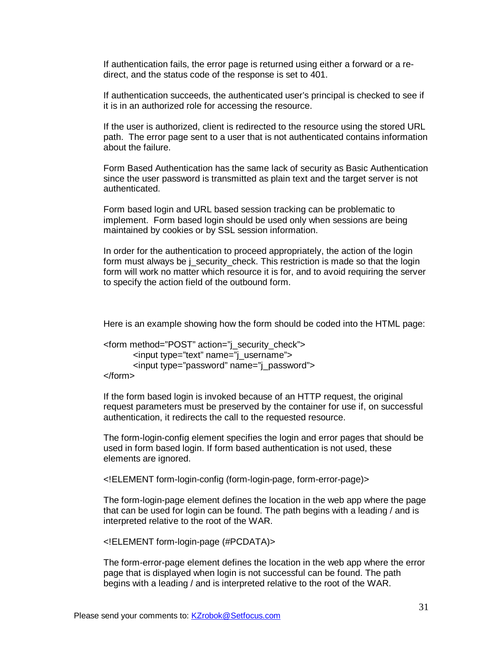If authentication fails, the error page is returned using either a forward or a redirect, and the status code of the response is set to 401.

If authentication succeeds, the authenticated user's principal is checked to see if it is in an authorized role for accessing the resource.

If the user is authorized, client is redirected to the resource using the stored URL path. The error page sent to a user that is not authenticated contains information about the failure.

Form Based Authentication has the same lack of security as Basic Authentication since the user password is transmitted as plain text and the target server is not authenticated.

Form based login and URL based session tracking can be problematic to implement. Form based login should be used only when sessions are being maintained by cookies or by SSL session information.

In order for the authentication to proceed appropriately, the action of the login form must always be j\_security\_check. This restriction is made so that the login form will work no matter which resource it is for, and to avoid requiring the server to specify the action field of the outbound form.

Here is an example showing how the form should be coded into the HTML page:

```
<form method="POST" action="j_security_check">
      <input type="text" name="j_username">
      <input type="password" name="j_password">
</form>
```
If the form based login is invoked because of an HTTP request, the original request parameters must be preserved by the container for use if, on successful authentication, it redirects the call to the requested resource.

The form-login-config element specifies the login and error pages that should be used in form based login. If form based authentication is not used, these elements are ignored.

<!ELEMENT form-login-config (form-login-page, form-error-page)>

The form-login-page element defines the location in the web app where the page that can be used for login can be found. The path begins with a leading / and is interpreted relative to the root of the WAR.

<!ELEMENT form-login-page (#PCDATA)>

The form-error-page element defines the location in the web app where the error page that is displayed when login is not successful can be found. The path begins with a leading / and is interpreted relative to the root of the WAR.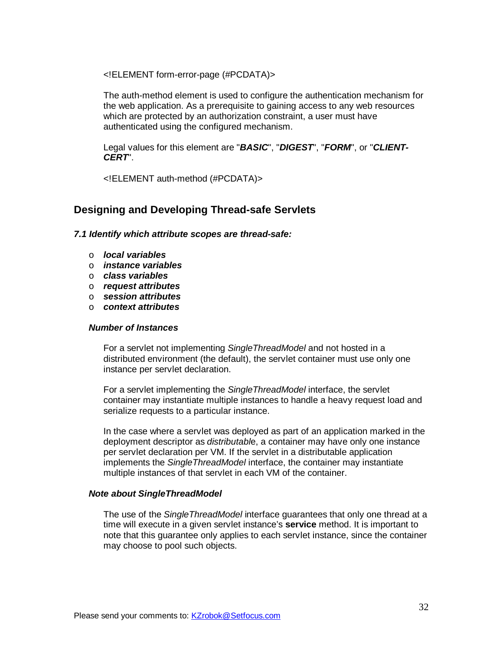<!ELEMENT form-error-page (#PCDATA)>

The auth-method element is used to configure the authentication mechanism for the web application. As a prerequisite to gaining access to any web resources which are protected by an authorization constraint, a user must have authenticated using the configured mechanism.

Legal values for this element are "*BASIC*", "*DIGEST*", "*FORM*", or "*CLIENT-CERT*".

<!ELEMENT auth-method (#PCDATA)>

## **Designing and Developing Thread-safe Servlets**

*7.1 Identify which attribute scopes are thread-safe:*

- o *local variables*
- o *instance variables*
- o *class variables*
- o *request attributes*
- o *session attributes*
- o *context attributes*

#### *Number of Instances*

For a servlet not implementing *SingleThreadModel* and not hosted in a distributed environment (the default), the servlet container must use only one instance per servlet declaration.

For a servlet implementing the *SingleThreadModel* interface, the servlet container may instantiate multiple instances to handle a heavy request load and serialize requests to a particular instance.

In the case where a servlet was deployed as part of an application marked in the deployment descriptor as *distributabl*e, a container may have only one instance per servlet declaration per VM. If the servlet in a distributable application implements the *SingleThreadModel* interface, the container may instantiate multiple instances of that servlet in each VM of the container.

#### *Note about SingleThreadModel*

The use of the *SingleThreadModel* interface guarantees that only one thread at a time will execute in a given servlet instance's **service** method. It is important to note that this guarantee only applies to each servlet instance, since the container may choose to pool such objects.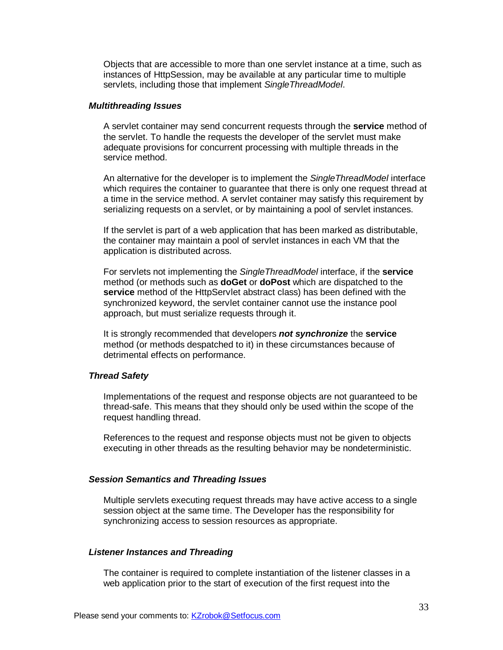Objects that are accessible to more than one servlet instance at a time, such as instances of HttpSession, may be available at any particular time to multiple servlets, including those that implement *SingleThreadModel*.

#### *Multithreading Issues*

A servlet container may send concurrent requests through the **service** method of the servlet. To handle the requests the developer of the servlet must make adequate provisions for concurrent processing with multiple threads in the service method.

An alternative for the developer is to implement the *SingleThreadModel* interface which requires the container to guarantee that there is only one request thread at a time in the service method. A servlet container may satisfy this requirement by serializing requests on a servlet, or by maintaining a pool of servlet instances.

If the servlet is part of a web application that has been marked as distributable, the container may maintain a pool of servlet instances in each VM that the application is distributed across.

For servlets not implementing the *SingleThreadModel* interface, if the **service** method (or methods such as **doGet** or **doPost** which are dispatched to the **service** method of the HttpServlet abstract class) has been defined with the synchronized keyword, the servlet container cannot use the instance pool approach, but must serialize requests through it.

It is strongly recommended that developers *not synchronize* the **service** method (or methods despatched to it) in these circumstances because of detrimental effects on performance.

#### *Thread Safety*

Implementations of the request and response objects are not guaranteed to be thread-safe. This means that they should only be used within the scope of the request handling thread.

References to the request and response objects must not be given to objects executing in other threads as the resulting behavior may be nondeterministic.

#### *Session Semantics and Threading Issues*

Multiple servlets executing request threads may have active access to a single session object at the same time. The Developer has the responsibility for synchronizing access to session resources as appropriate.

#### *Listener Instances and Threading*

The container is required to complete instantiation of the listener classes in a web application prior to the start of execution of the first request into the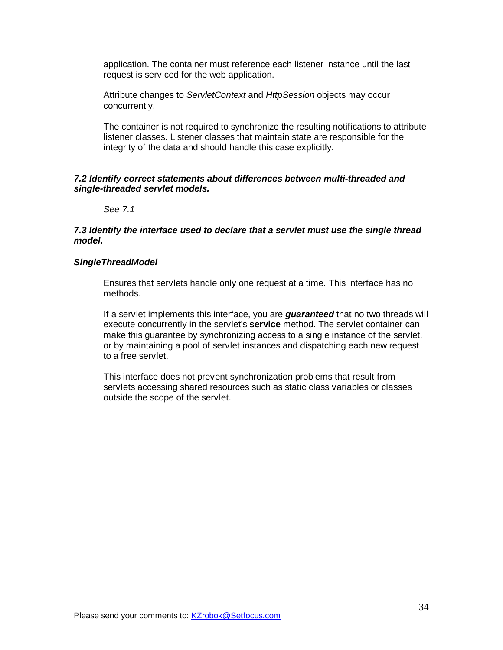application. The container must reference each listener instance until the last request is serviced for the web application.

Attribute changes to *ServletContext* and *HttpSession* objects may occur concurrently.

The container is not required to synchronize the resulting notifications to attribute listener classes. Listener classes that maintain state are responsible for the integrity of the data and should handle this case explicitly.

#### *7.2 Identify correct statements about differences between multi-threaded and single-threaded servlet models.*

*See 7.1*

#### *7.3 Identify the interface used to declare that a servlet must use the single thread model.*

#### *SingleThreadModel*

Ensures that servlets handle only one request at a time. This interface has no methods.

If a servlet implements this interface, you are *guaranteed* that no two threads will execute concurrently in the servlet's **service** method. The servlet container can make this guarantee by synchronizing access to a single instance of the servlet, or by maintaining a pool of servlet instances and dispatching each new request to a free servlet.

This interface does not prevent synchronization problems that result from servlets accessing shared resources such as static class variables or classes outside the scope of the servlet.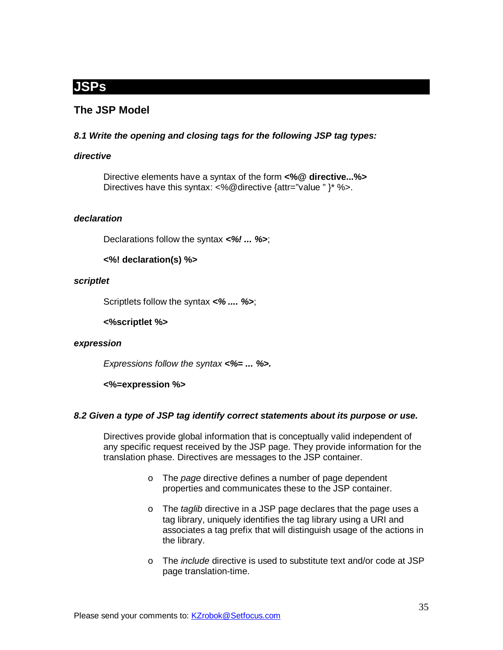# **JSPs**

## **The JSP Model**

## *8.1 Write the opening and closing tags for the following JSP tag types:*

#### *directive*

Directive elements have a syntax of the form **<%@ directive...%>** Directives have this syntax: <%@directive {attr="value " }\* %>.

#### *declaration*

Declarations follow the syntax *<%! ... %>*;

**<%! declaration(s) %>**

#### *scriptlet*

Scriptlets follow the syntax *<% .... %>*;

**<%scriptlet %>**

#### *expression*

*Expressions follow the syntax <%= ... %>.*

**<%=expression %>**

#### *8.2 Given a type of JSP tag identify correct statements about its purpose or use.*

Directives provide global information that is conceptually valid independent of any specific request received by the JSP page. They provide information for the translation phase. Directives are messages to the JSP container.

- o The *page* directive defines a number of page dependent properties and communicates these to the JSP container.
- o The *taglib* directive in a JSP page declares that the page uses a tag library, uniquely identifies the tag library using a URI and associates a tag prefix that will distinguish usage of the actions in the library.
- o The *include* directive is used to substitute text and/or code at JSP page translation-time.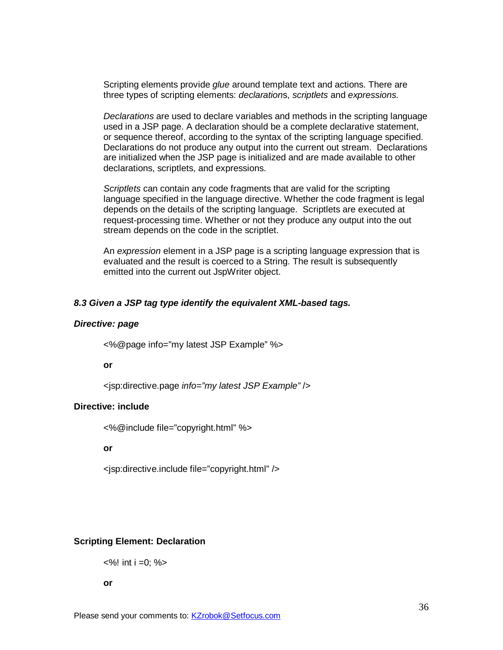Scripting elements provide *glue* around template text and actions. There are three types of scripting elements: *declaration*s, *scriptlets* and *expressions.*

*Declarations* are used to declare variables and methods in the scripting language used in a JSP page. A declaration should be a complete declarative statement, or sequence thereof, according to the syntax of the scripting language specified. Declarations do not produce any output into the current out stream. Declarations are initialized when the JSP page is initialized and are made available to other declarations, scriptlets, and expressions.

*Scriptlets* can contain any code fragments that are valid for the scripting language specified in the language directive. Whether the code fragment is legal depends on the details of the scripting language. Scriptlets are executed at request-processing time. Whether or not they produce any output into the out stream depends on the code in the scriptlet.

An *expression* element in a JSP page is a scripting language expression that is evaluated and the result is coerced to a String. The result is subsequently emitted into the current out JspWriter object.

#### *8.3 Given a JSP tag type identify the equivalent XML-based tags.*

#### *Directive: page*

<%@page info="my latest JSP Example" %>

#### **or**

<jsp:directive.page *info="my latest JSP Example"* />

#### **Directive: include**

<%@include file="copyright.html" %>

**or**

<jsp:directive.include file="copyright.html" />

## **Scripting Element: Declaration**

 $\langle 8 \rangle$  int i =0; %

#### **or**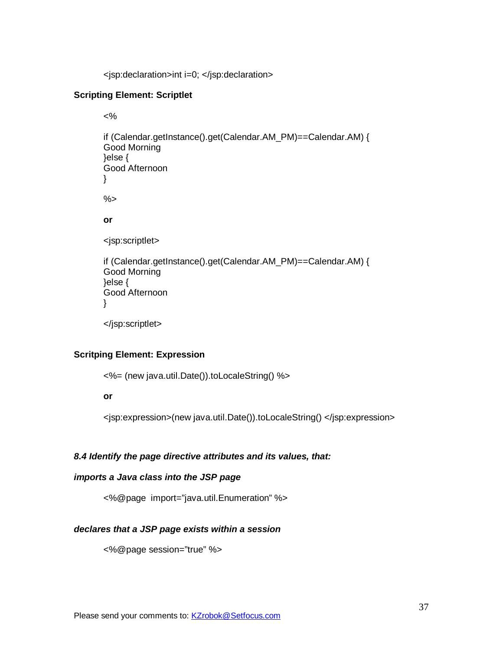<jsp:declaration>int i=0; </jsp:declaration>

## **Scripting Element: Scriptlet**

```
<% 
if (Calendar.getInstance().get(Calendar.AM_PM)==Calendar.AM) {
Good Morning
}else {
Good Afternoon
}
% >or
<jsp:scriptlet>
if (Calendar.getInstance().get(Calendar.AM_PM)==Calendar.AM) {
Good Morning
}else {
Good Afternoon
}
</jsp:scriptlet>
```
## **Scritping Element: Expression**

<%= (new java.util.Date()).toLocaleString() %>

**or**

<jsp:expression>(new java.util.Date()).toLocaleString() </jsp:expression>

## *8.4 Identify the page directive attributes and its values, that:*

#### *imports a Java class into the JSP page*

```
<%@page import="java.util.Enumeration" %>
```
#### *declares that a JSP page exists within a session*

<%@page session="true" %>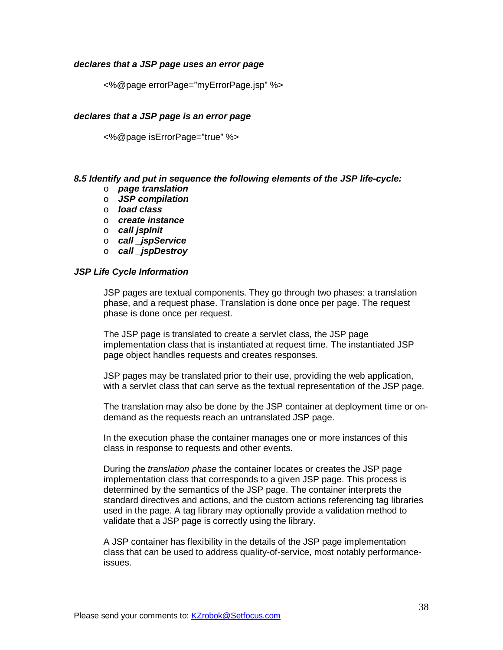#### *declares that a JSP page uses an error page*

<%@page errorPage="myErrorPage.jsp" %>

#### *declares that a JSP page is an error page*

<%@page isErrorPage="true" %>

#### *8.5 Identify and put in sequence the following elements of the JSP life-cycle:*

- o *page translation*
- o *JSP compilation*
- o *load class*
- o *create instance*
- o *call jspInit*
- o *call \_jspService*
- o *call \_jspDestroy*

#### *JSP Life Cycle Information*

JSP pages are textual components. They go through two phases: a translation phase, and a request phase. Translation is done once per page. The request phase is done once per request.

The JSP page is translated to create a servlet class, the JSP page implementation class that is instantiated at request time. The instantiated JSP page object handles requests and creates responses.

JSP pages may be translated prior to their use, providing the web application, with a servlet class that can serve as the textual representation of the JSP page.

The translation may also be done by the JSP container at deployment time or ondemand as the requests reach an untranslated JSP page.

In the execution phase the container manages one or more instances of this class in response to requests and other events.

During the *translation phase* the container locates or creates the JSP page implementation class that corresponds to a given JSP page. This process is determined by the semantics of the JSP page. The container interprets the standard directives and actions, and the custom actions referencing tag libraries used in the page. A tag library may optionally provide a validation method to validate that a JSP page is correctly using the library.

A JSP container has flexibility in the details of the JSP page implementation class that can be used to address quality-of-service, most notably performanceissues.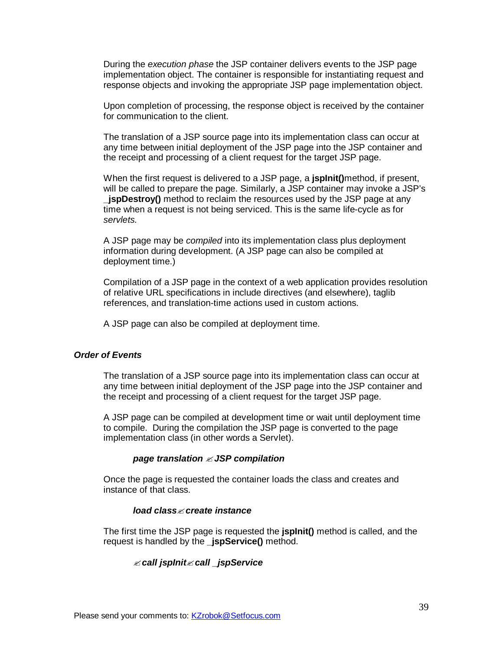During the *execution phase* the JSP container delivers events to the JSP page implementation object. The container is responsible for instantiating request and response objects and invoking the appropriate JSP page implementation object.

Upon completion of processing, the response object is received by the container for communication to the client.

The translation of a JSP source page into its implementation class can occur at any time between initial deployment of the JSP page into the JSP container and the receipt and processing of a client request for the target JSP page.

When the first request is delivered to a JSP page, a **jspInit()**method, if present, will be called to prepare the page. Similarly, a JSP container may invoke a JSP's **\_jspDestroy()** method to reclaim the resources used by the JSP page at any time when a request is not being serviced. This is the same life-cycle as for *servlets.*

A JSP page may be *compiled* into its implementation class plus deployment information during development. (A JSP page can also be compiled at deployment time.)

Compilation of a JSP page in the context of a web application provides resolution of relative URL specifications in include directives (and elsewhere), taglib references, and translation-time actions used in custom actions.

A JSP page can also be compiled at deployment time.

#### *Order of Events*

The translation of a JSP source page into its implementation class can occur at any time between initial deployment of the JSP page into the JSP container and the receipt and processing of a client request for the target JSP page.

A JSP page can be compiled at development time or wait until deployment time to compile. During the compilation the JSP page is converted to the page implementation class (in other words a Servlet).

#### *page translation ? JSP compilation*

Once the page is requested the container loads the class and creates and instance of that class.

#### *load class? create instance*

The first time the JSP page is requested the **jspInit()** method is called, and the request is handled by the **\_jspService()** method.

#### *? call jspInit? call \_jspService*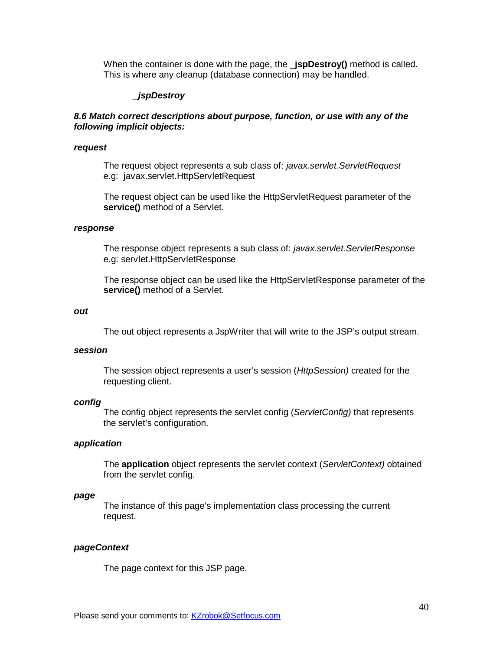When the container is done with the page, the \_**jspDestroy()** method is called. This is where any cleanup (database connection) may be handled.

#### *\_jspDestroy*

#### *8.6 Match correct descriptions about purpose, function, or use with any of the following implicit objects:*

#### *request*

The request object represents a sub class of: *javax.servlet.ServletRequest* e.g: javax.servlet.HttpServletRequest

The request object can be used like the HttpServletRequest parameter of the **service()** method of a Servlet.

#### *response*

The response object represents a sub class of: *javax.servlet.ServletResponse* e.g: servlet.HttpServletResponse

The response object can be used like the HttpServletResponse parameter of the **service()** method of a Servlet.

#### *out*

The out object represents a JspWriter that will write to the JSP's output stream.

#### *session*

The session object represents a user's session (*HttpSession)* created for the requesting client.

#### *config*

The config object represents the servlet config (*ServletConfig)* that represents the servlet's configuration.

#### *application*

The **application** object represents the servlet context (*ServletContext)* obtained from the servlet config.

#### *page*

The instance of this page's implementation class processing the current request.

#### *pageContext*

The page context for this JSP page.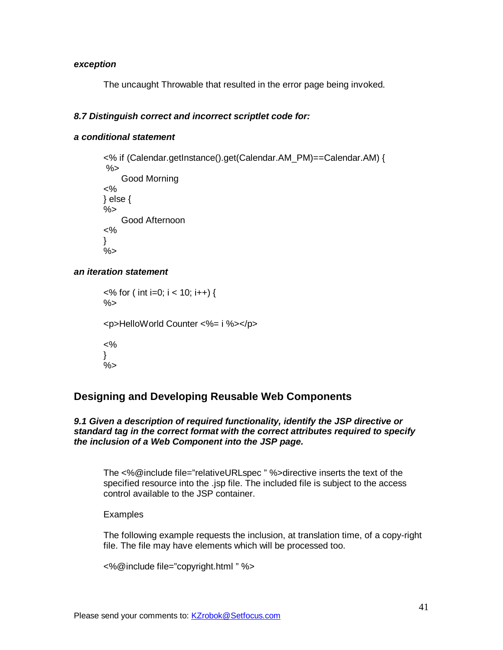### *exception*

The uncaught Throwable that resulted in the error page being invoked.

## *8.7 Distinguish correct and incorrect scriptlet code for:*

### *a conditional statement*

```
<% if (Calendar.getInstance().get(Calendar.AM_PM)==Calendar.AM) {
% > Good Morning
< \frac{9}{6}} else { 
%>
     Good Afternoon
<% 
} 
%>
```
### *an iteration statement*

```
\lt% for ( int i=0; i \lt 10; i++) {
%>
<p>HelloWorld Counter <%= i %></p>
<% 
} 
%>
```
## **Designing and Developing Reusable Web Components**

#### *9.1 Given a description of required functionality, identify the JSP directive or standard tag in the correct format with the correct attributes required to specify the inclusion of a Web Component into the JSP page.*

The <%@include file="relativeURLspec " %>directive inserts the text of the specified resource into the .jsp file. The included file is subject to the access control available to the JSP container.

#### Examples

The following example requests the inclusion, at translation time, of a copy-right file. The file may have elements which will be processed too.

<%@include file="copyright.html " %>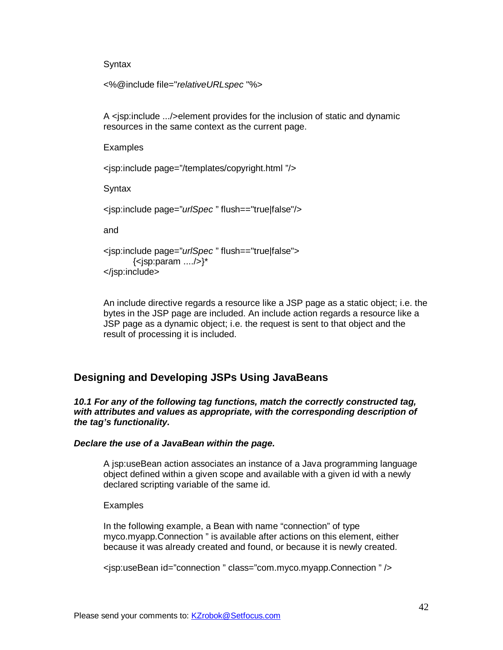**Syntax** 

<%@include file="*relativeURLspec* "%>

A <jsp:include .../>element provides for the inclusion of static and dynamic resources in the same context as the current page.

**Examples** 

<jsp:include page="/templates/copyright.html "/>

**Syntax** 

<jsp:include page="*urlSpec* " flush=="true|false"/>

and

<jsp:include page="*urlSpec* " flush=="true|false">  $\{\langle$ sisp:param ..../>}\* </jsp:include>

An include directive regards a resource like a JSP page as a static object; i.e. the bytes in the JSP page are included. An include action regards a resource like a JSP page as a dynamic object; i.e. the request is sent to that object and the result of processing it is included.

## **Designing and Developing JSPs Using JavaBeans**

*10.1 For any of the following tag functions, match the correctly constructed tag, with attributes and values as appropriate, with the corresponding description of the tag's functionality.*

#### *Declare the use of a JavaBean within the page.*

A jsp:useBean action associates an instance of a Java programming language object defined within a given scope and available with a given id with a newly declared scripting variable of the same id.

Examples

In the following example, a Bean with name "connection" of type myco.myapp.Connection " is available after actions on this element, either because it was already created and found, or because it is newly created.

<jsp:useBean id="connection " class="com.myco.myapp.Connection " />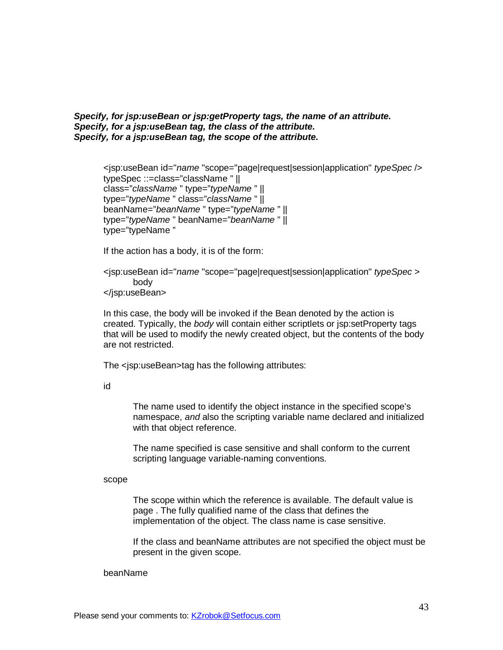#### *Specify, for jsp:useBean or jsp:getProperty tags, the name of an attribute. Specify, for a jsp:useBean tag, the class of the attribute. Specify, for a jsp:useBean tag, the scope of the attribute.*

```
<jsp:useBean id="name "scope="page|request|session|application" typeSpec />
typeSpec ::=class="className " ||
class="className " type="typeName " ||
type="typeName " class="className " ||
beanName="beanName " type="typeName " ||
type="typeName " beanName="beanName " ||
type="typeName "
```
If the action has a body, it is of the form:

<jsp:useBean id="*name* "scope="page|request|session|application" *typeSpec* > body </jsp:useBean>

In this case, the body will be invoked if the Bean denoted by the action is created. Typically, the *body* will contain either scriptlets or jsp:setProperty tags that will be used to modify the newly created object, but the contents of the body are not restricted.

The <jsp:useBean>tag has the following attributes:

id

The name used to identify the object instance in the specified scope's namespace, *and* also the scripting variable name declared and initialized with that object reference.

The name specified is case sensitive and shall conform to the current scripting language variable-naming conventions.

scope

The scope within which the reference is available. The default value is page . The fully qualified name of the class that defines the implementation of the object. The class name is case sensitive.

If the class and beanName attributes are not specified the object must be present in the given scope.

#### beanName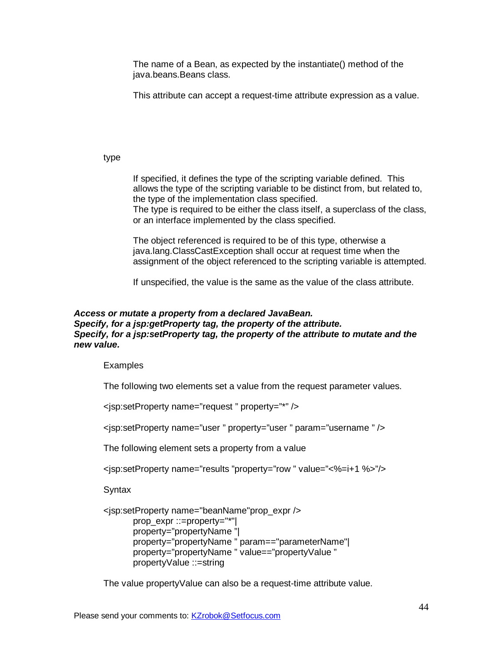The name of a Bean, as expected by the instantiate() method of the java.beans.Beans class.

This attribute can accept a request-time attribute expression as a value.

#### type

If specified, it defines the type of the scripting variable defined. This allows the type of the scripting variable to be distinct from, but related to, the type of the implementation class specified.

The type is required to be either the class itself, a superclass of the class, or an interface implemented by the class specified.

The object referenced is required to be of this type, otherwise a java.lang.ClassCastException shall occur at request time when the assignment of the object referenced to the scripting variable is attempted.

If unspecified, the value is the same as the value of the class attribute.

### *Access or mutate a property from a declared JavaBean. Specify, for a jsp:getProperty tag, the property of the attribute. Specify, for a jsp:setProperty tag, the property of the attribute to mutate and the new value.*

#### **Examples**

The following two elements set a value from the request parameter values.

<jsp:setProperty name="request " property="\*" />

<jsp:setProperty name="user " property="user " param="username " />

The following element sets a property from a value

<jsp:setProperty name="results "property="row " value="<%=i+1 %>"/>

**Syntax** 

```
<jsp:setProperty name="beanName"prop_expr />
      prop_expr ::=property="*"|
      property="propertyName "|
      property="propertyName " param=="parameterName"|
      property="propertyName " value=="propertyValue "
      propertyValue ::=string
```
The value propertyValue can also be a request-time attribute value.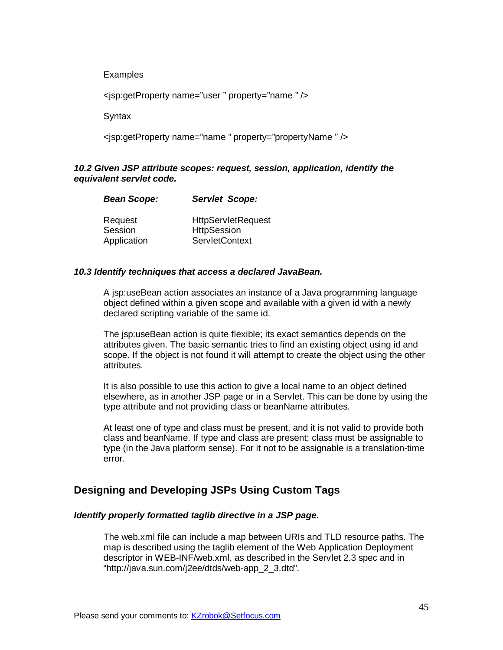#### **Examples**

<jsp:getProperty name="user " property="name " />

**Syntax** 

<jsp:getProperty name="name " property="propertyName " />

#### *10.2 Given JSP attribute scopes: request, session, application, identify the equivalent servlet code.*

| <b>Bean Scope:</b> | <b>Servlet Scope:</b>                           |
|--------------------|-------------------------------------------------|
| Request<br>Session | <b>HttpServletRequest</b><br><b>HttpSession</b> |
| Application        | <b>ServletContext</b>                           |

#### *10.3 Identify techniques that access a declared JavaBean.*

A jsp:useBean action associates an instance of a Java programming language object defined within a given scope and available with a given id with a newly declared scripting variable of the same id.

The jsp:useBean action is quite flexible; its exact semantics depends on the attributes given. The basic semantic tries to find an existing object using id and scope. If the object is not found it will attempt to create the object using the other attributes.

It is also possible to use this action to give a local name to an object defined elsewhere, as in another JSP page or in a Servlet. This can be done by using the type attribute and not providing class or beanName attributes.

At least one of type and class must be present, and it is not valid to provide both class and beanName. If type and class are present; class must be assignable to type (in the Java platform sense). For it not to be assignable is a translation-time error.

## **Designing and Developing JSPs Using Custom Tags**

#### *Identify properly formatted taglib directive in a JSP page.*

The web.xml file can include a map between URIs and TLD resource paths. The map is described using the taglib element of the Web Application Deployment descriptor in WEB-INF/web.xml, as described in the Servlet 2.3 spec and in "http://java.sun.com/j2ee/dtds/web-app\_2\_3.dtd".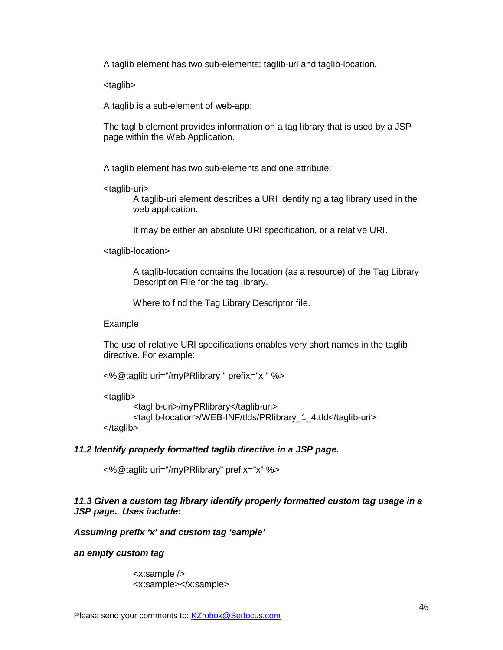A taglib element has two sub-elements: taglib-uri and taglib-location.

<taglib>

A taglib is a sub-element of web-app:

The taglib element provides information on a tag library that is used by a JSP page within the Web Application.

A taglib element has two sub-elements and one attribute:

#### <taglib-uri>

A taglib-uri element describes a URI identifying a tag library used in the web application.

It may be either an absolute URI specification, or a relative URI.

#### <taglib-location>

A taglib-location contains the location (as a resource) of the Tag Library Description File for the tag library.

Where to find the Tag Library Descriptor file.

#### Example

The use of relative URI specifications enables very short names in the taglib directive. For example:

<%@taglib uri="/myPRlibrary " prefix="x " %>

<taglib>

<taglib-uri>/myPRlibrary</taglib-uri> <taglib-location>/WEB-INF/tlds/PRlibrary\_1\_4.tld</taglib-uri> </taglib>

#### *11.2 Identify properly formatted taglib directive in a JSP page.*

<%@taglib uri="/myPRlibrary" prefix="x" %>

## *11.3 Given a custom tag library identify properly formatted custom tag usage in a JSP page. Uses include:*

*Assuming prefix 'x' and custom tag 'sample'*

*an empty custom tag*

<x:sample /> <x:sample></x:sample>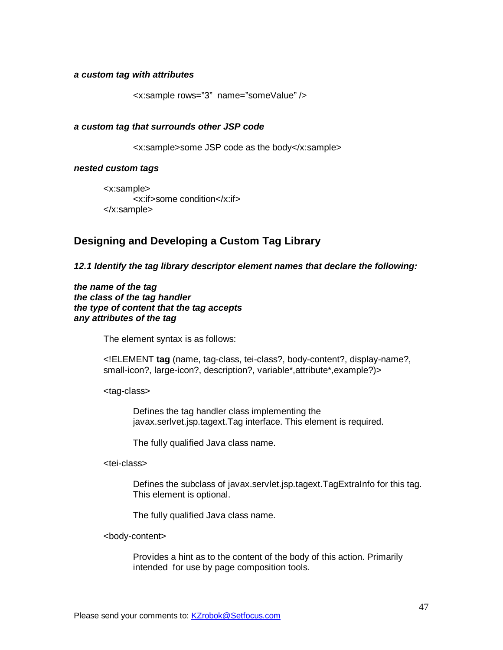#### *a custom tag with attributes*

<x:sample rows="3" name="someValue" />

#### *a custom tag that surrounds other JSP code*

<x:sample>some JSP code as the body</x:sample>

#### *nested custom tags*

<x:sample> <x:if>some condition</x:if> </x:sample>

## **Designing and Developing a Custom Tag Library**

*12.1 Identify the tag library descriptor element names that declare the following:*

*the name of the tag the class of the tag handler the type of content that the tag accepts any attributes of the tag*

The element syntax is as follows:

<!ELEMENT **tag** (name, tag-class, tei-class?, body-content?, display-name?, small-icon?, large-icon?, description?, variable\*,attribute\*,example?)>

<tag-class>

Defines the tag handler class implementing the javax.serlvet.jsp.tagext.Tag interface. This element is required.

The fully qualified Java class name.

<tei-class>

Defines the subclass of javax.servlet.jsp.tagext.TagExtraInfo for this tag. This element is optional.

The fully qualified Java class name.

<body-content>

Provides a hint as to the content of the body of this action. Primarily intended for use by page composition tools.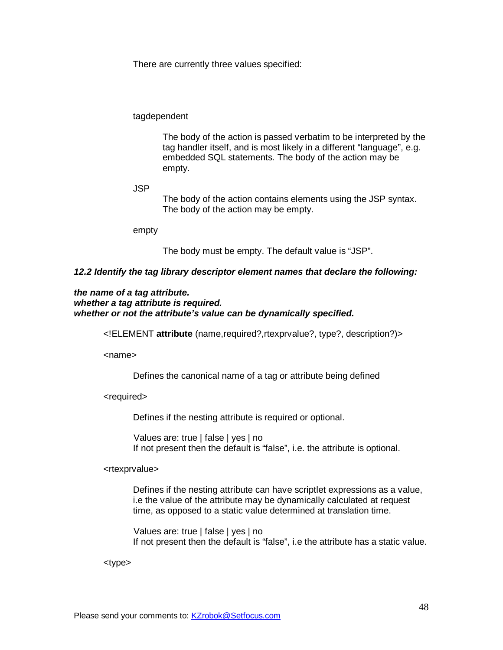There are currently three values specified:

#### tagdependent

The body of the action is passed verbatim to be interpreted by the tag handler itself, and is most likely in a different "language", e.g. embedded SQL statements. The body of the action may be empty.

#### JSP

The body of the action contains elements using the JSP syntax. The body of the action may be empty.

#### empty

The body must be empty. The default value is "JSP".

#### *12.2 Identify the tag library descriptor element names that declare the following:*

#### *the name of a tag attribute.*

### *whether a tag attribute is required. whether or not the attribute's value can be dynamically specified.*

<!ELEMENT **attribute** (name,required?,rtexprvalue?, type?, description?)>

<name>

Defines the canonical name of a tag or attribute being defined

<required>

Defines if the nesting attribute is required or optional.

 Values are: true | false | yes | no If not present then the default is "false", i.e. the attribute is optional.

#### <rtexprvalue>

Defines if the nesting attribute can have scriptlet expressions as a value, i.e the value of the attribute may be dynamically calculated at request time, as opposed to a static value determined at translation time.

 Values are: true | false | yes | no If not present then the default is "false", i.e the attribute has a static value.

<type>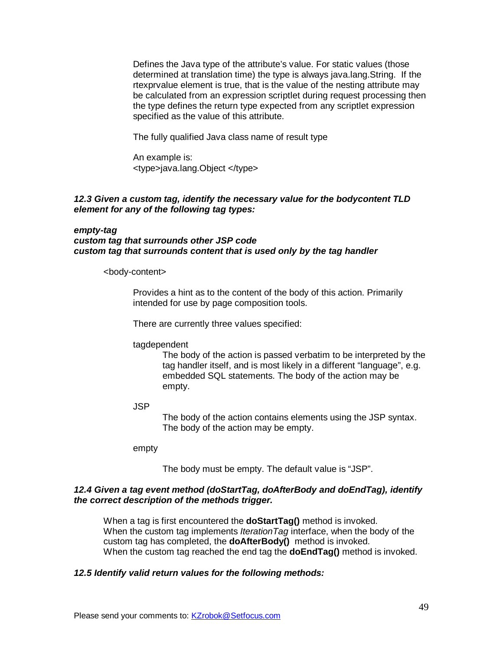Defines the Java type of the attribute's value. For static values (those determined at translation time) the type is always java.lang.String. If the rtexprvalue element is true, that is the value of the nesting attribute may be calculated from an expression scriptlet during request processing then the type defines the return type expected from any scriptlet expression specified as the value of this attribute.

The fully qualified Java class name of result type

An example is: <type>java.lang.Object </type>

## *12.3 Given a custom tag, identify the necessary value for the bodycontent TLD element for any of the following tag types:*

#### *empty-tag custom tag that surrounds other JSP code custom tag that surrounds content that is used only by the tag handler*

#### <body-content>

Provides a hint as to the content of the body of this action. Primarily intended for use by page composition tools.

There are currently three values specified:

#### tagdependent

The body of the action is passed verbatim to be interpreted by the tag handler itself, and is most likely in a different "language", e.g. embedded SQL statements. The body of the action may be empty.

#### JSP

The body of the action contains elements using the JSP syntax. The body of the action may be empty.

#### empty

The body must be empty. The default value is "JSP".

## *12.4 Given a tag event method (doStartTag, doAfterBody and doEndTag), identify the correct description of the methods trigger.*

When a tag is first encountered the **doStartTag()** method is invoked. When the custom tag implements *IterationTag* interface, when the body of the custom tag has completed, the **doAfterBody()** method is invoked. When the custom tag reached the end tag the **doEndTag()** method is invoked.

#### *12.5 Identify valid return values for the following methods:*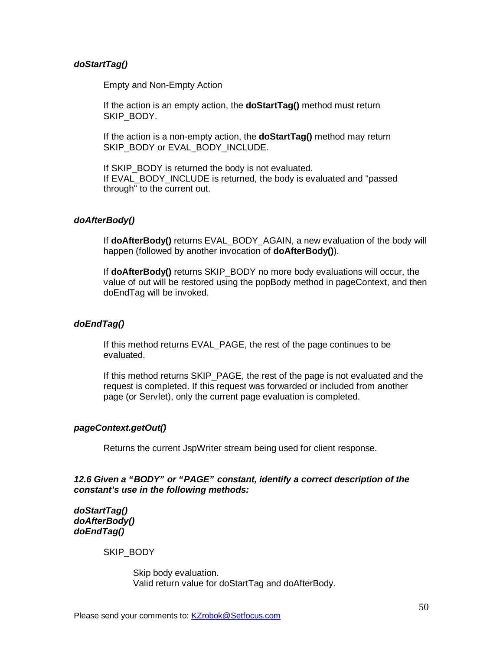### *doStartTag()*

Empty and Non-Empty Action

If the action is an empty action, the **doStartTag()** method must return SKIP\_BODY.

If the action is a non-empty action, the **doStartTag()** method may return SKIP\_BODY or EVAL\_BODY\_INCLUDE.

If SKIP BODY is returned the body is not evaluated. If EVAL BODY INCLUDE is returned, the body is evaluated and "passed through" to the current out.

#### *doAfterBody()*

If **doAfterBody()** returns EVAL\_BODY\_AGAIN, a new evaluation of the body will happen (followed by another invocation of **doAfterBody()**).

If **doAfterBody()** returns SKIP\_BODY no more body evaluations will occur, the value of out will be restored using the popBody method in pageContext, and then doEndTag will be invoked.

#### *doEndTag()*

If this method returns EVAL PAGE, the rest of the page continues to be evaluated.

If this method returns SKIP PAGE, the rest of the page is not evaluated and the request is completed. If this request was forwarded or included from another page (or Servlet), only the current page evaluation is completed.

#### *pageContext.getOut()*

Returns the current JspWriter stream being used for client response.

#### *12.6 Given a "BODY" or "PAGE" constant, identify a correct description of the constant's use in the following methods:*

*doStartTag() doAfterBody() doEndTag()*

SKIP\_BODY

Skip body evaluation. Valid return value for doStartTag and doAfterBody.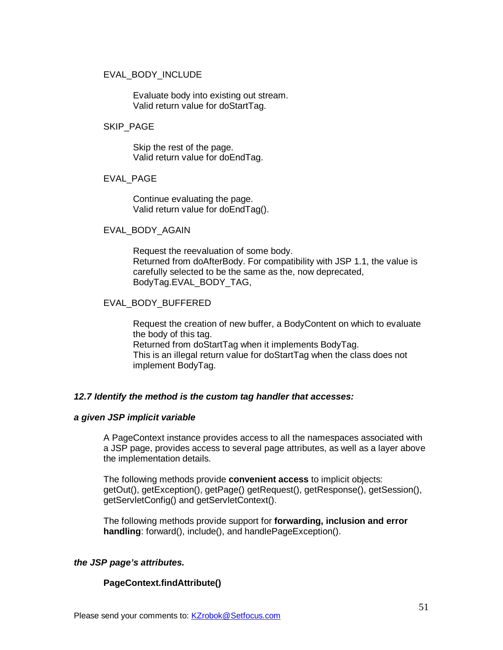#### EVAL\_BODY\_INCLUDE

Evaluate body into existing out stream. Valid return value for doStartTag.

#### SKIP\_PAGE

Skip the rest of the page. Valid return value for doEndTag.

#### EVAL\_PAGE

Continue evaluating the page. Valid return value for doEndTag().

#### EVAL\_BODY\_AGAIN

Request the reevaluation of some body. Returned from doAfterBody. For compatibility with JSP 1.1, the value is carefully selected to be the same as the, now deprecated, BodyTag.EVAL\_BODY\_TAG,

### EVAL\_BODY\_BUFFERED

Request the creation of new buffer, a BodyContent on which to evaluate the body of this tag. Returned from doStartTag when it implements BodyTag. This is an illegal return value for doStartTag when the class does not implement BodyTag.

#### *12.7 Identify the method is the custom tag handler that accesses:*

#### *a given JSP implicit variable*

A PageContext instance provides access to all the namespaces associated with a JSP page, provides access to several page attributes, as well as a layer above the implementation details.

The following methods provide **convenient access** to implicit objects: getOut(), getException(), getPage() getRequest(), getResponse(), getSession(), getServletConfig() and getServletContext().

The following methods provide support for **forwarding, inclusion and error handling**: forward(), include(), and handlePageException().

#### *the JSP page's attributes.*

#### **PageContext.findAttribute()**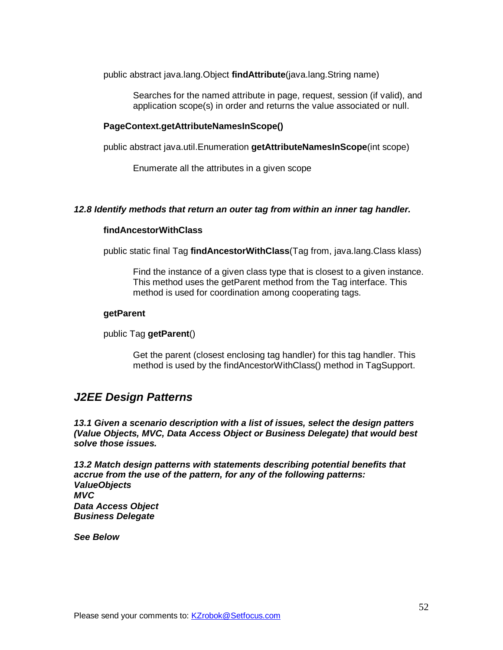public abstract java.lang.Object **findAttribute**(java.lang.String name)

Searches for the named attribute in page, request, session (if valid), and application scope(s) in order and returns the value associated or null.

#### **PageContext.getAttributeNamesInScope()**

public abstract java.util.Enumeration **getAttributeNamesInScope**(int scope)

Enumerate all the attributes in a given scope

#### *12.8 Identify methods that return an outer tag from within an inner tag handler.*

#### **findAncestorWithClass**

public static final Tag **findAncestorWithClass**(Tag from, java.lang.Class klass)

Find the instance of a given class type that is closest to a given instance. This method uses the getParent method from the Tag interface. This method is used for coordination among cooperating tags.

#### **getParent**

public Tag **getParent**()

Get the parent (closest enclosing tag handler) for this tag handler. This method is used by the findAncestorWithClass() method in TagSupport.

## *J2EE Design Patterns*

*13.1 Given a scenario description with a list of issues, select the design patters (Value Objects, MVC, Data Access Object or Business Delegate) that would best solve those issues.*

*13.2 Match design patterns with statements describing potential benefits that accrue from the use of the pattern, for any of the following patterns: ValueObjects MVC Data Access Object Business Delegate*

*See Below*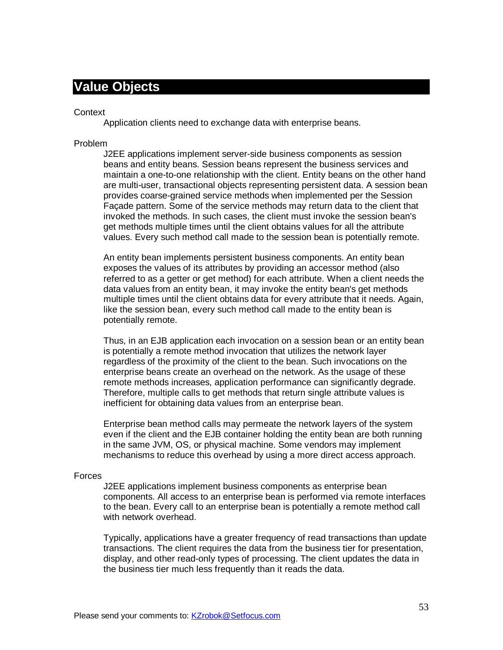# **Value Objects**

#### **Context**

Application clients need to exchange data with enterprise beans.

#### Problem

J2EE applications implement server-side business components as session beans and entity beans. Session beans represent the business services and maintain a one-to-one relationship with the client. Entity beans on the other hand are multi-user, transactional objects representing persistent data. A session bean provides coarse-grained service methods when implemented per the Session Façade pattern. Some of the service methods may return data to the client that invoked the methods. In such cases, the client must invoke the session bean's get methods multiple times until the client obtains values for all the attribute values. Every such method call made to the session bean is potentially remote.

An entity bean implements persistent business components. An entity bean exposes the values of its attributes by providing an accessor method (also referred to as a getter or get method) for each attribute. When a client needs the data values from an entity bean, it may invoke the entity bean's get methods multiple times until the client obtains data for every attribute that it needs. Again, like the session bean, every such method call made to the entity bean is potentially remote.

Thus, in an EJB application each invocation on a session bean or an entity bean is potentially a remote method invocation that utilizes the network layer regardless of the proximity of the client to the bean. Such invocations on the enterprise beans create an overhead on the network. As the usage of these remote methods increases, application performance can significantly degrade. Therefore, multiple calls to get methods that return single attribute values is inefficient for obtaining data values from an enterprise bean.

Enterprise bean method calls may permeate the network layers of the system even if the client and the EJB container holding the entity bean are both running in the same JVM, OS, or physical machine. Some vendors may implement mechanisms to reduce this overhead by using a more direct access approach.

#### Forces

J2EE applications implement business components as enterprise bean components. All access to an enterprise bean is performed via remote interfaces to the bean. Every call to an enterprise bean is potentially a remote method call with network overhead.

Typically, applications have a greater frequency of read transactions than update transactions. The client requires the data from the business tier for presentation, display, and other read-only types of processing. The client updates the data in the business tier much less frequently than it reads the data.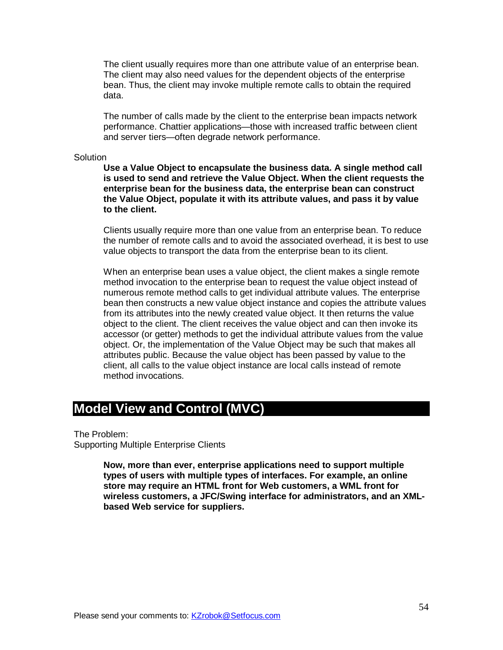The client usually requires more than one attribute value of an enterprise bean. The client may also need values for the dependent objects of the enterprise bean. Thus, the client may invoke multiple remote calls to obtain the required data.

The number of calls made by the client to the enterprise bean impacts network performance. Chattier applications— those with increased traffic between client and server tiers— often degrade network performance.

#### **Solution**

**Use a Value Object to encapsulate the business data. A single method call is used to send and retrieve the Value Object. When the client requests the enterprise bean for the business data, the enterprise bean can construct the Value Object, populate it with its attribute values, and pass it by value to the client.**

Clients usually require more than one value from an enterprise bean. To reduce the number of remote calls and to avoid the associated overhead, it is best to use value objects to transport the data from the enterprise bean to its client.

When an enterprise bean uses a value object, the client makes a single remote method invocation to the enterprise bean to request the value object instead of numerous remote method calls to get individual attribute values. The enterprise bean then constructs a new value object instance and copies the attribute values from its attributes into the newly created value object. It then returns the value object to the client. The client receives the value object and can then invoke its accessor (or getter) methods to get the individual attribute values from the value object. Or, the implementation of the Value Object may be such that makes all attributes public. Because the value object has been passed by value to the client, all calls to the value object instance are local calls instead of remote method invocations.

## **Model View and Control (MVC)**

The Problem: Supporting Multiple Enterprise Clients

> **Now, more than ever, enterprise applications need to support multiple types of users with multiple types of interfaces. For example, an online store may require an HTML front for Web customers, a WML front for wireless customers, a JFC/Swing interface for administrators, and an XMLbased Web service for suppliers.**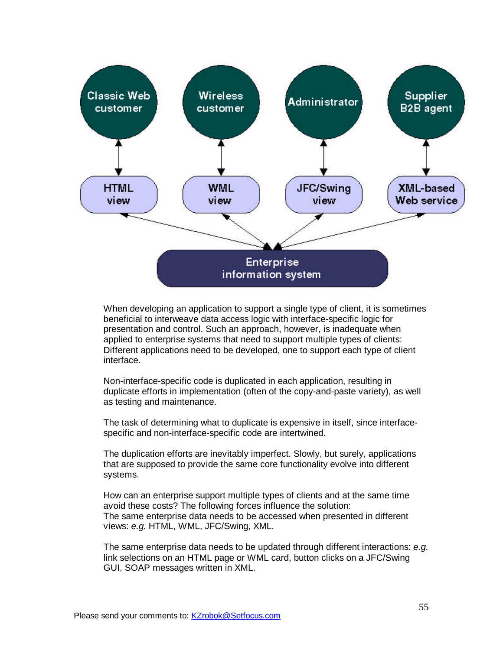

When developing an application to support a single type of client, it is sometimes beneficial to interweave data access logic with interface-specific logic for presentation and control. Such an approach, however, is inadequate when applied to enterprise systems that need to support multiple types of clients: Different applications need to be developed, one to support each type of client interface.

Non-interface-specific code is duplicated in each application, resulting in duplicate efforts in implementation (often of the copy-and-paste variety), as well as testing and maintenance.

The task of determining what to duplicate is expensive in itself, since interfacespecific and non-interface-specific code are intertwined.

The duplication efforts are inevitably imperfect. Slowly, but surely, applications that are supposed to provide the same core functionality evolve into different systems.

How can an enterprise support multiple types of clients and at the same time avoid these costs? The following forces influence the solution: The same enterprise data needs to be accessed when presented in different views: *e.g.* HTML, WML, JFC/Swing, XML.

The same enterprise data needs to be updated through different interactions: *e.g.* link selections on an HTML page or WML card, button clicks on a JFC/Swing GUI, SOAP messages written in XML.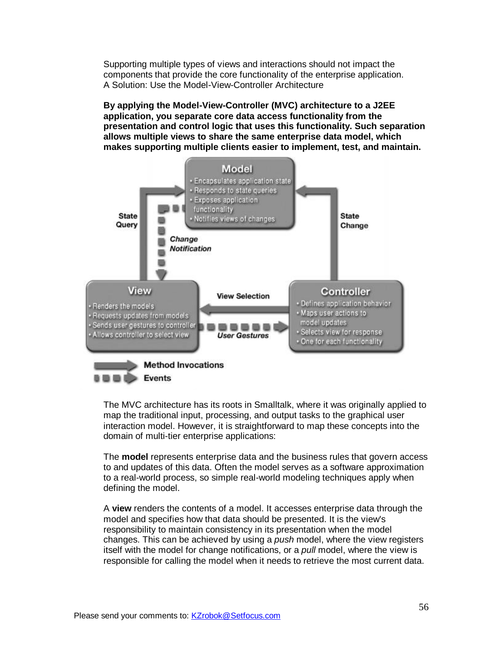Supporting multiple types of views and interactions should not impact the components that provide the core functionality of the enterprise application. A Solution: Use the Model-View-Controller Architecture

**By applying the Model-View-Controller (MVC) architecture to a J2EE application, you separate core data access functionality from the presentation and control logic that uses this functionality. Such separation allows multiple views to share the same enterprise data model, which makes supporting multiple clients easier to implement, test, and maintain.**



The MVC architecture has its roots in Smalltalk, where it was originally applied to map the traditional input, processing, and output tasks to the graphical user interaction model. However, it is straightforward to map these concepts into the domain of multi-tier enterprise applications:

The **model** represents enterprise data and the business rules that govern access to and updates of this data. Often the model serves as a software approximation to a real-world process, so simple real-world modeling techniques apply when defining the model.

A **view** renders the contents of a model. It accesses enterprise data through the model and specifies how that data should be presented. It is the view's responsibility to maintain consistency in its presentation when the model changes. This can be achieved by using a *push* model, where the view registers itself with the model for change notifications, or a *pull* model, where the view is responsible for calling the model when it needs to retrieve the most current data.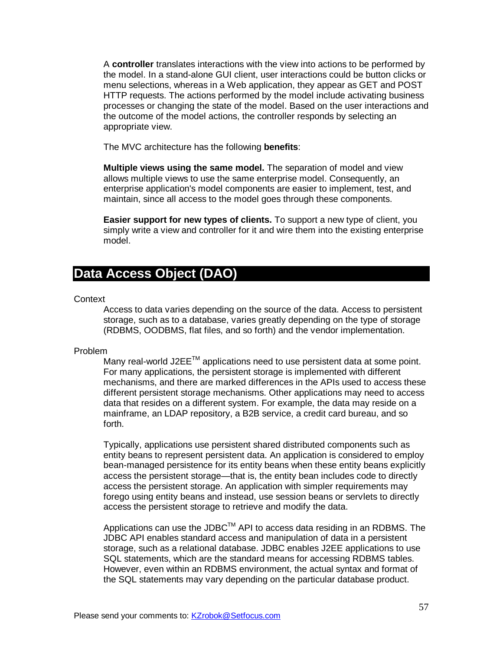A **controller** translates interactions with the view into actions to be performed by the model. In a stand-alone GUI client, user interactions could be button clicks or menu selections, whereas in a Web application, they appear as GET and POST HTTP requests. The actions performed by the model include activating business processes or changing the state of the model. Based on the user interactions and the outcome of the model actions, the controller responds by selecting an appropriate view.

The MVC architecture has the following **benefits**:

**Multiple views using the same model.** The separation of model and view allows multiple views to use the same enterprise model. Consequently, an enterprise application's model components are easier to implement, test, and maintain, since all access to the model goes through these components.

**Easier support for new types of clients.** To support a new type of client, you simply write a view and controller for it and wire them into the existing enterprise model.

# **Data Access Object (DAO)**

#### **Context**

Access to data varies depending on the source of the data. Access to persistent storage, such as to a database, varies greatly depending on the type of storage (RDBMS, OODBMS, flat files, and so forth) and the vendor implementation.

#### Problem

Many real-world J2EE<sup>TM</sup> applications need to use persistent data at some point. For many applications, the persistent storage is implemented with different mechanisms, and there are marked differences in the APIs used to access these different persistent storage mechanisms. Other applications may need to access data that resides on a different system. For example, the data may reside on a mainframe, an LDAP repository, a B2B service, a credit card bureau, and so forth.

Typically, applications use persistent shared distributed components such as entity beans to represent persistent data. An application is considered to employ bean-managed persistence for its entity beans when these entity beans explicitly access the persistent storage— that is, the entity bean includes code to directly access the persistent storage. An application with simpler requirements may forego using entity beans and instead, use session beans or servlets to directly access the persistent storage to retrieve and modify the data.

Applications can use the JDBC $^{TM}$  API to access data residing in an RDBMS. The JDBC API enables standard access and manipulation of data in a persistent storage, such as a relational database. JDBC enables J2EE applications to use SQL statements, which are the standard means for accessing RDBMS tables. However, even within an RDBMS environment, the actual syntax and format of the SQL statements may vary depending on the particular database product.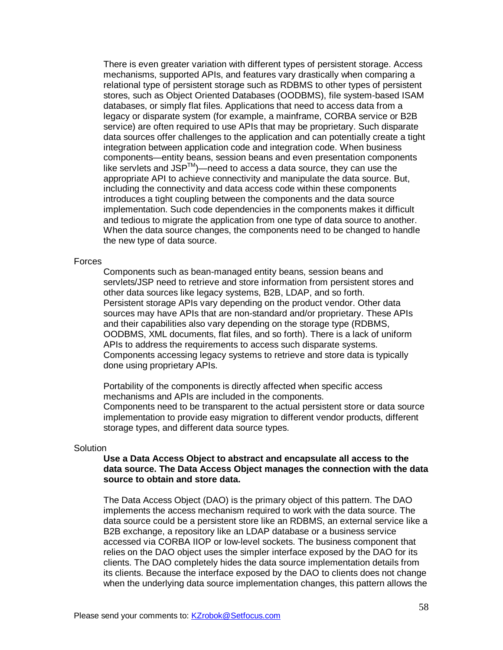There is even greater variation with different types of persistent storage. Access mechanisms, supported APIs, and features vary drastically when comparing a relational type of persistent storage such as RDBMS to other types of persistent stores, such as Object Oriented Databases (OODBMS), file system-based ISAM databases, or simply flat files. Applications that need to access data from a legacy or disparate system (for example, a mainframe, CORBA service or B2B service) are often required to use APIs that may be proprietary. Such disparate data sources offer challenges to the application and can potentially create a tight integration between application code and integration code. When business components— entity beans, session beans and even presentation components like servlets and  $JSP^{TM}$ )—need to access a data source, they can use the appropriate API to achieve connectivity and manipulate the data source. But, including the connectivity and data access code within these components introduces a tight coupling between the components and the data source implementation. Such code dependencies in the components makes it difficult and tedious to migrate the application from one type of data source to another. When the data source changes, the components need to be changed to handle the new type of data source.

#### Forces

Components such as bean-managed entity beans, session beans and servlets/JSP need to retrieve and store information from persistent stores and other data sources like legacy systems, B2B, LDAP, and so forth. Persistent storage APIs vary depending on the product vendor. Other data sources may have APIs that are non-standard and/or proprietary. These APIs and their capabilities also vary depending on the storage type (RDBMS, OODBMS, XML documents, flat files, and so forth). There is a lack of uniform APIs to address the requirements to access such disparate systems. Components accessing legacy systems to retrieve and store data is typically done using proprietary APIs.

Portability of the components is directly affected when specific access mechanisms and APIs are included in the components. Components need to be transparent to the actual persistent store or data source implementation to provide easy migration to different vendor products, different storage types, and different data source types.

#### **Solution**

#### **Use a Data Access Object to abstract and encapsulate all access to the data source. The Data Access Object manages the connection with the data source to obtain and store data.**

The Data Access Object (DAO) is the primary object of this pattern. The DAO implements the access mechanism required to work with the data source. The data source could be a persistent store like an RDBMS, an external service like a B2B exchange, a repository like an LDAP database or a business service accessed via CORBA IIOP or low-level sockets. The business component that relies on the DAO object uses the simpler interface exposed by the DAO for its clients. The DAO completely hides the data source implementation details from its clients. Because the interface exposed by the DAO to clients does not change when the underlying data source implementation changes, this pattern allows the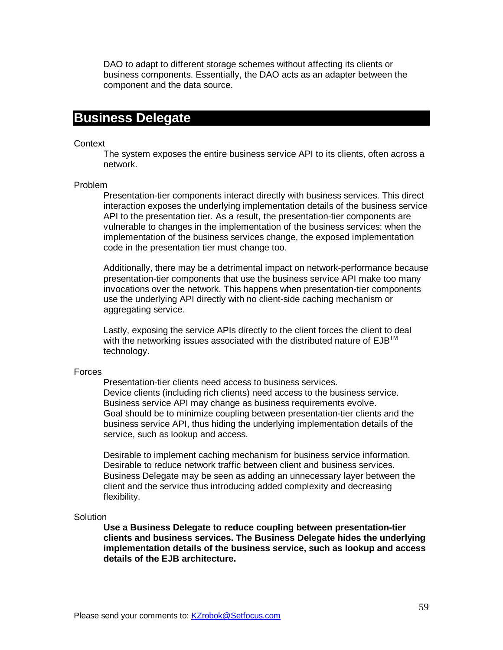DAO to adapt to different storage schemes without affecting its clients or business components. Essentially, the DAO acts as an adapter between the component and the data source.

## **Business Delegate**

#### **Context**

The system exposes the entire business service API to its clients, often across a network.

#### Problem

Presentation-tier components interact directly with business services. This direct interaction exposes the underlying implementation details of the business service API to the presentation tier. As a result, the presentation-tier components are vulnerable to changes in the implementation of the business services: when the implementation of the business services change, the exposed implementation code in the presentation tier must change too.

Additionally, there may be a detrimental impact on network-performance because presentation-tier components that use the business service API make too many invocations over the network. This happens when presentation-tier components use the underlying API directly with no client-side caching mechanism or aggregating service.

Lastly, exposing the service APIs directly to the client forces the client to deal with the networking issues associated with the distributed nature of  $EJB^{TM}$ technology.

### Forces

Presentation-tier clients need access to business services. Device clients (including rich clients) need access to the business service. Business service API may change as business requirements evolve. Goal should be to minimize coupling between presentation-tier clients and the business service API, thus hiding the underlying implementation details of the service, such as lookup and access.

Desirable to implement caching mechanism for business service information. Desirable to reduce network traffic between client and business services. Business Delegate may be seen as adding an unnecessary layer between the client and the service thus introducing added complexity and decreasing flexibility.

#### **Solution**

**Use a Business Delegate to reduce coupling between presentation-tier clients and business services. The Business Delegate hides the underlying implementation details of the business service, such as lookup and access details of the EJB architecture.**